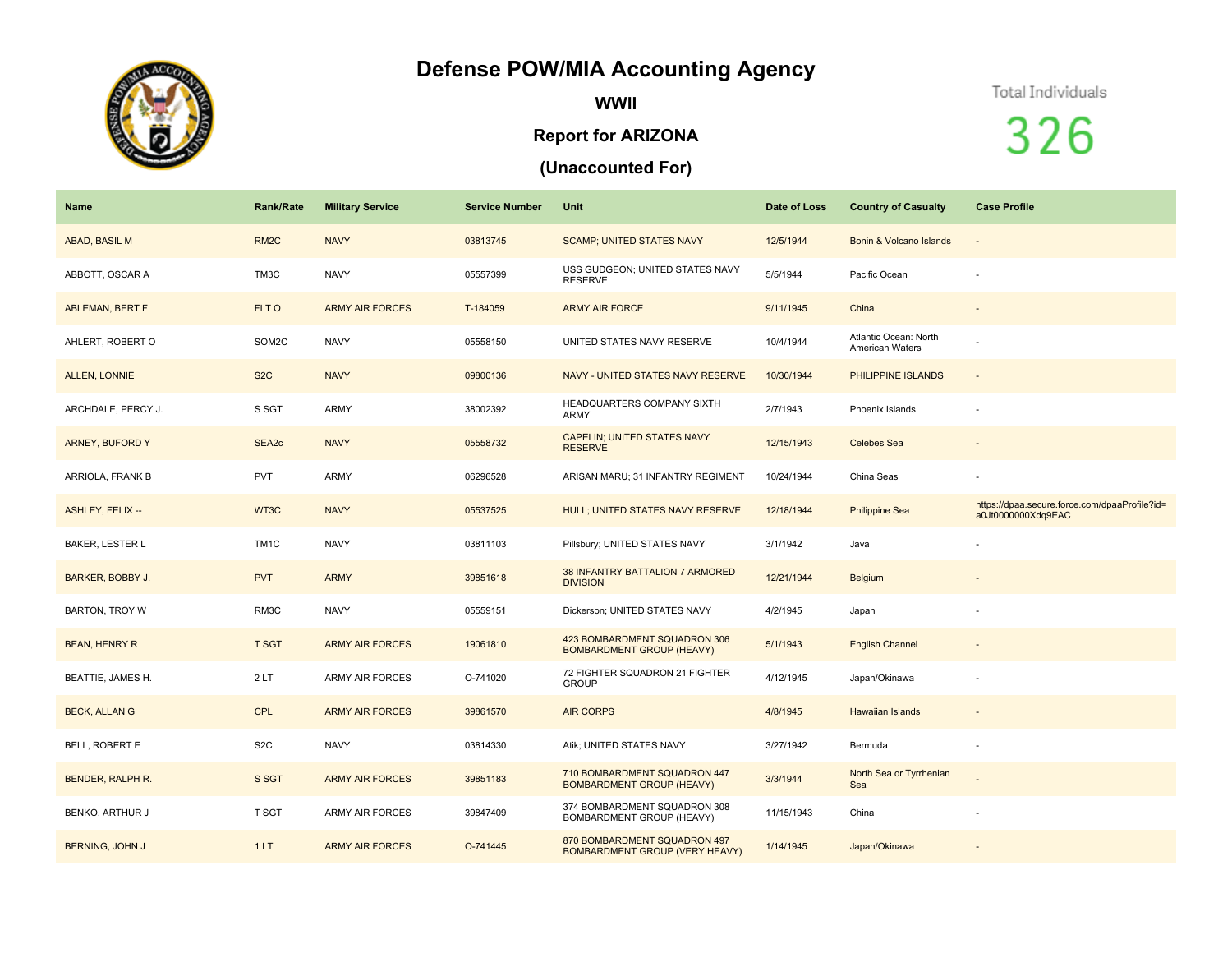## **Defense POW/MIA Accounting Agency**



**WWII**

## **Report for ARIZONA**

## **(Unaccounted For)**

## Total Individuals

326

| <b>Name</b>             | <b>Rank/Rate</b>  | <b>Military Service</b> | <b>Service Number</b> | Unit                                                             | Date of Loss | <b>Country of Casualty</b>               | <b>Case Profile</b>                                                 |
|-------------------------|-------------------|-------------------------|-----------------------|------------------------------------------------------------------|--------------|------------------------------------------|---------------------------------------------------------------------|
| ABAD, BASIL M           | RM <sub>2</sub> C | <b>NAVY</b>             | 03813745              | <b>SCAMP; UNITED STATES NAVY</b>                                 | 12/5/1944    | Bonin & Volcano Islands                  |                                                                     |
| ABBOTT, OSCAR A         | TM3C              | <b>NAVY</b>             | 05557399              | USS GUDGEON; UNITED STATES NAVY<br><b>RESERVE</b>                | 5/5/1944     | Pacific Ocean                            |                                                                     |
| ABLEMAN, BERT F         | FLT O             | <b>ARMY AIR FORCES</b>  | T-184059              | <b>ARMY AIR FORCE</b>                                            | 9/11/1945    | China                                    |                                                                     |
| AHLERT, ROBERT O        | SOM2C             | <b>NAVY</b>             | 05558150              | UNITED STATES NAVY RESERVE                                       | 10/4/1944    | Atlantic Ocean: North<br>American Waters |                                                                     |
| ALLEN, LONNIE           | S <sub>2</sub> C  | <b>NAVY</b>             | 09800136              | NAVY - UNITED STATES NAVY RESERVE                                | 10/30/1944   | PHILIPPINE ISLANDS                       | $\sim$                                                              |
| ARCHDALE, PERCY J.      | S SGT             | <b>ARMY</b>             | 38002392              | HEADQUARTERS COMPANY SIXTH<br><b>ARMY</b>                        | 2/7/1943     | Phoenix Islands                          |                                                                     |
| <b>ARNEY, BUFORD Y</b>  | SEA2c             | <b>NAVY</b>             | 05558732              | <b>CAPELIN; UNITED STATES NAVY</b><br><b>RESERVE</b>             | 12/15/1943   | <b>Celebes Sea</b>                       |                                                                     |
| ARRIOLA, FRANK B        | <b>PVT</b>        | ARMY                    | 06296528              | ARISAN MARU; 31 INFANTRY REGIMENT                                | 10/24/1944   | China Seas                               |                                                                     |
| ASHLEY, FELIX --        | WT3C              | <b>NAVY</b>             | 05537525              | HULL; UNITED STATES NAVY RESERVE                                 | 12/18/1944   | <b>Philippine Sea</b>                    | https://dpaa.secure.force.com/dpaaProfile?id=<br>a0Jt0000000Xdq9EAC |
| <b>BAKER, LESTER L</b>  | TM <sub>1</sub> C | <b>NAVY</b>             | 03811103              | Pillsbury; UNITED STATES NAVY                                    | 3/1/1942     | Java                                     |                                                                     |
| <b>BARKER, BOBBY J.</b> | <b>PVT</b>        | <b>ARMY</b>             | 39851618              | 38 INFANTRY BATTALION 7 ARMORED<br><b>DIVISION</b>               | 12/21/1944   | Belgium                                  |                                                                     |
| <b>BARTON, TROY W</b>   | RM3C              | <b>NAVY</b>             | 05559151              | Dickerson; UNITED STATES NAVY                                    | 4/2/1945     | Japan                                    |                                                                     |
| <b>BEAN, HENRY R</b>    | <b>T SGT</b>      | <b>ARMY AIR FORCES</b>  | 19061810              | 423 BOMBARDMENT SQUADRON 306<br><b>BOMBARDMENT GROUP (HEAVY)</b> | 5/1/1943     | <b>English Channel</b>                   | $\overline{\phantom{a}}$                                            |
| BEATTIE, JAMES H.       | 2LT               | <b>ARMY AIR FORCES</b>  | O-741020              | 72 FIGHTER SQUADRON 21 FIGHTER<br><b>GROUP</b>                   | 4/12/1945    | Japan/Okinawa                            |                                                                     |
| <b>BECK, ALLAN G</b>    | <b>CPL</b>        | <b>ARMY AIR FORCES</b>  | 39861570              | <b>AIR CORPS</b>                                                 | 4/8/1945     | <b>Hawaiian Islands</b>                  |                                                                     |
| <b>BELL, ROBERT E</b>   | S <sub>2</sub> C  | <b>NAVY</b>             | 03814330              | Atik; UNITED STATES NAVY                                         | 3/27/1942    | Bermuda                                  |                                                                     |
| <b>BENDER, RALPH R.</b> | S SGT             | <b>ARMY AIR FORCES</b>  | 39851183              | 710 BOMBARDMENT SQUADRON 447<br><b>BOMBARDMENT GROUP (HEAVY)</b> | 3/3/1944     | North Sea or Tyrrhenian<br>Sea           |                                                                     |
| BENKO, ARTHUR J         | T SGT             | <b>ARMY AIR FORCES</b>  | 39847409              | 374 BOMBARDMENT SQUADRON 308<br>BOMBARDMENT GROUP (HEAVY)        | 11/15/1943   | China                                    |                                                                     |
| <b>BERNING, JOHN J</b>  | 1LT               | <b>ARMY AIR FORCES</b>  | O-741445              | 870 BOMBARDMENT SQUADRON 497<br>BOMBARDMENT GROUP (VERY HEAVY)   | 1/14/1945    | Japan/Okinawa                            |                                                                     |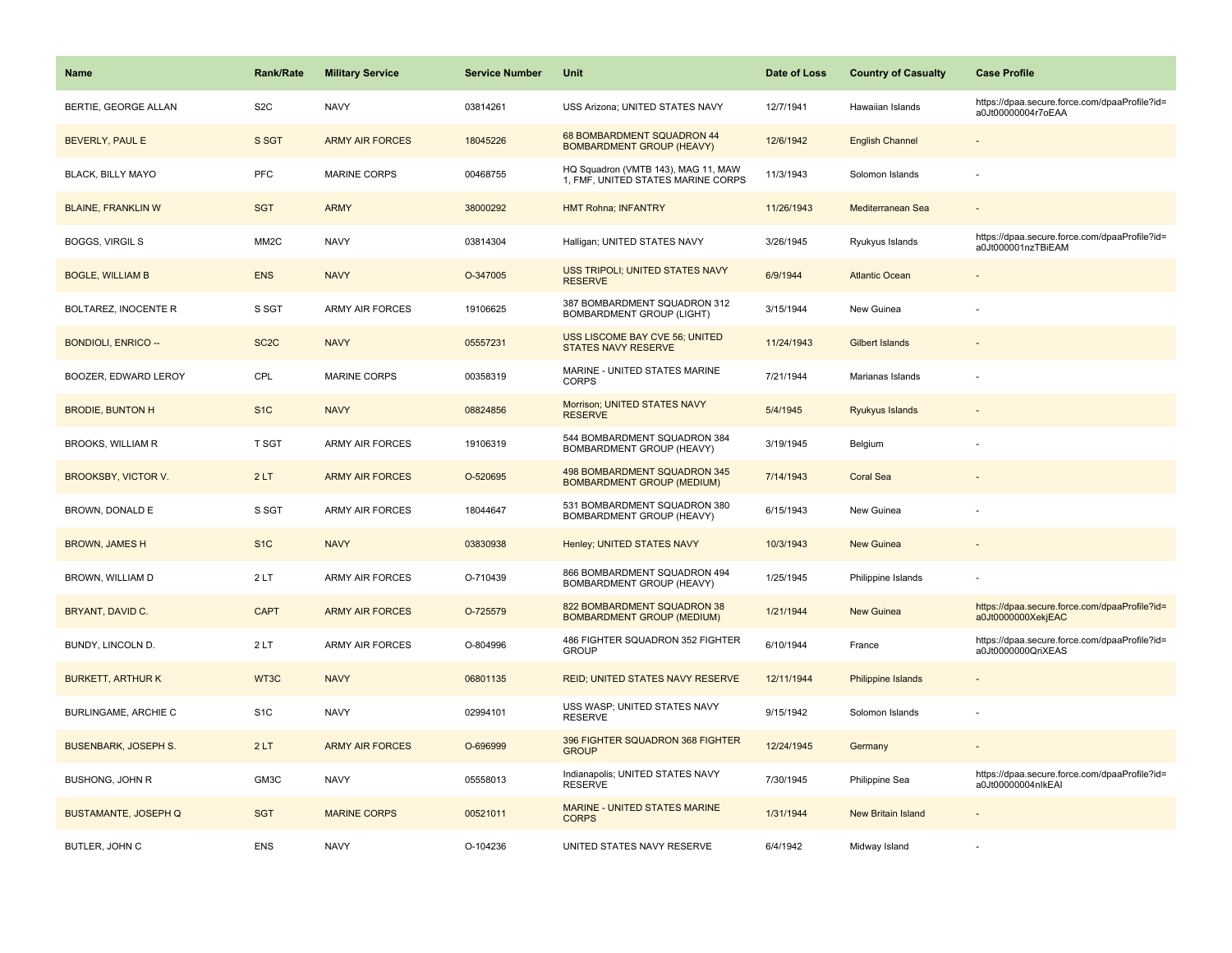| Name                        | <b>Rank/Rate</b>  | <b>Military Service</b> | <b>Service Number</b> | Unit                                                                      | Date of Loss | <b>Country of Casualty</b> | <b>Case Profile</b>                                                 |
|-----------------------------|-------------------|-------------------------|-----------------------|---------------------------------------------------------------------------|--------------|----------------------------|---------------------------------------------------------------------|
| BERTIE, GEORGE ALLAN        | S <sub>2</sub> C  | <b>NAVY</b>             | 03814261              | USS Arizona; UNITED STATES NAVY                                           | 12/7/1941    | Hawaiian Islands           | https://dpaa.secure.force.com/dpaaProfile?id=<br>a0Jt00000004r7oEAA |
| BEVERLY, PAUL E             | S SGT             | <b>ARMY AIR FORCES</b>  | 18045226              | 68 BOMBARDMENT SQUADRON 44<br><b>BOMBARDMENT GROUP (HEAVY)</b>            | 12/6/1942    | <b>English Channel</b>     |                                                                     |
| <b>BLACK, BILLY MAYO</b>    | PFC               | <b>MARINE CORPS</b>     | 00468755              | HQ Squadron (VMTB 143), MAG 11, MAW<br>1, FMF, UNITED STATES MARINE CORPS | 11/3/1943    | Solomon Islands            |                                                                     |
| <b>BLAINE, FRANKLIN W</b>   | <b>SGT</b>        | <b>ARMY</b>             | 38000292              | <b>HMT Rohna; INFANTRY</b>                                                | 11/26/1943   | Mediterranean Sea          |                                                                     |
| <b>BOGGS, VIRGIL S</b>      | MM <sub>2</sub> C | <b>NAVY</b>             | 03814304              | Halligan; UNITED STATES NAVY                                              | 3/26/1945    | Ryukyus Islands            | https://dpaa.secure.force.com/dpaaProfile?id=<br>a0Jt000001nzTBiEAM |
| <b>BOGLE, WILLIAM B</b>     | <b>ENS</b>        | <b>NAVY</b>             | O-347005              | USS TRIPOLI; UNITED STATES NAVY<br><b>RESERVE</b>                         | 6/9/1944     | <b>Atlantic Ocean</b>      |                                                                     |
| BOLTAREZ, INOCENTE R        | S SGT             | ARMY AIR FORCES         | 19106625              | 387 BOMBARDMENT SQUADRON 312<br>BOMBARDMENT GROUP (LIGHT)                 | 3/15/1944    | New Guinea                 |                                                                     |
| <b>BONDIOLI, ENRICO --</b>  | SC <sub>2</sub> C | <b>NAVY</b>             | 05557231              | USS LISCOME BAY CVE 56; UNITED<br><b>STATES NAVY RESERVE</b>              | 11/24/1943   | <b>Gilbert Islands</b>     |                                                                     |
| BOOZER, EDWARD LEROY        | CPL               | <b>MARINE CORPS</b>     | 00358319              | MARINE - UNITED STATES MARINE<br><b>CORPS</b>                             | 7/21/1944    | Marianas Islands           |                                                                     |
| <b>BRODIE, BUNTON H</b>     | S <sub>1C</sub>   | <b>NAVY</b>             | 08824856              | Morrison; UNITED STATES NAVY<br><b>RESERVE</b>                            | 5/4/1945     | Ryukyus Islands            |                                                                     |
| <b>BROOKS, WILLIAM R</b>    | <b>T SGT</b>      | <b>ARMY AIR FORCES</b>  | 19106319              | 544 BOMBARDMENT SQUADRON 384<br>BOMBARDMENT GROUP (HEAVY)                 | 3/19/1945    | Belgium                    |                                                                     |
| BROOKSBY, VICTOR V.         | 2LT               | <b>ARMY AIR FORCES</b>  | O-520695              | <b>498 BOMBARDMENT SQUADRON 345</b><br><b>BOMBARDMENT GROUP (MEDIUM)</b>  | 7/14/1943    | Coral Sea                  |                                                                     |
| BROWN, DONALD E             | S SGT             | <b>ARMY AIR FORCES</b>  | 18044647              | 531 BOMBARDMENT SQUADRON 380<br>BOMBARDMENT GROUP (HEAVY)                 | 6/15/1943    | New Guinea                 |                                                                     |
| <b>BROWN, JAMES H</b>       | S <sub>1</sub> C  | <b>NAVY</b>             | 03830938              | Henley; UNITED STATES NAVY                                                | 10/3/1943    | New Guinea                 |                                                                     |
| BROWN, WILLIAM D            | 2LT               | <b>ARMY AIR FORCES</b>  | O-710439              | 866 BOMBARDMENT SQUADRON 494<br>BOMBARDMENT GROUP (HEAVY)                 | 1/25/1945    | Philippine Islands         |                                                                     |
| BRYANT, DAVID C.            | <b>CAPT</b>       | <b>ARMY AIR FORCES</b>  | O-725579              | 822 BOMBARDMENT SQUADRON 38<br><b>BOMBARDMENT GROUP (MEDIUM)</b>          | 1/21/1944    | <b>New Guinea</b>          | https://dpaa.secure.force.com/dpaaProfile?id=<br>a0Jt0000000XekjEAC |
| BUNDY, LINCOLN D.           | 2LT               | <b>ARMY AIR FORCES</b>  | O-804996              | 486 FIGHTER SQUADRON 352 FIGHTER<br><b>GROUP</b>                          | 6/10/1944    | France                     | https://dpaa.secure.force.com/dpaaProfile?id=<br>a0Jt0000000QriXEAS |
| <b>BURKETT, ARTHUR K</b>    | WT3C              | <b>NAVY</b>             | 06801135              | <b>REID: UNITED STATES NAVY RESERVE</b>                                   | 12/11/1944   | <b>Philippine Islands</b>  |                                                                     |
| BURLINGAME, ARCHIE C        | S <sub>1</sub> C  | <b>NAVY</b>             | 02994101              | USS WASP; UNITED STATES NAVY<br><b>RESERVE</b>                            | 9/15/1942    | Solomon Islands            |                                                                     |
| <b>BUSENBARK, JOSEPH S.</b> | 2LT               | <b>ARMY AIR FORCES</b>  | O-696999              | 396 FIGHTER SQUADRON 368 FIGHTER<br><b>GROUP</b>                          | 12/24/1945   | Germany                    |                                                                     |
| <b>BUSHONG, JOHN R</b>      | GM3C              | <b>NAVY</b>             | 05558013              | Indianapolis; UNITED STATES NAVY<br><b>RESERVE</b>                        | 7/30/1945    | Philippine Sea             | https://dpaa.secure.force.com/dpaaProfile?id=<br>a0Jt00000004nlkEAI |
| <b>BUSTAMANTE, JOSEPH Q</b> | <b>SGT</b>        | <b>MARINE CORPS</b>     | 00521011              | MARINE - UNITED STATES MARINE<br><b>CORPS</b>                             | 1/31/1944    | <b>New Britain Island</b>  |                                                                     |
| BUTLER, JOHN C              | <b>ENS</b>        | <b>NAVY</b>             | O-104236              | UNITED STATES NAVY RESERVE                                                | 6/4/1942     | Midway Island              |                                                                     |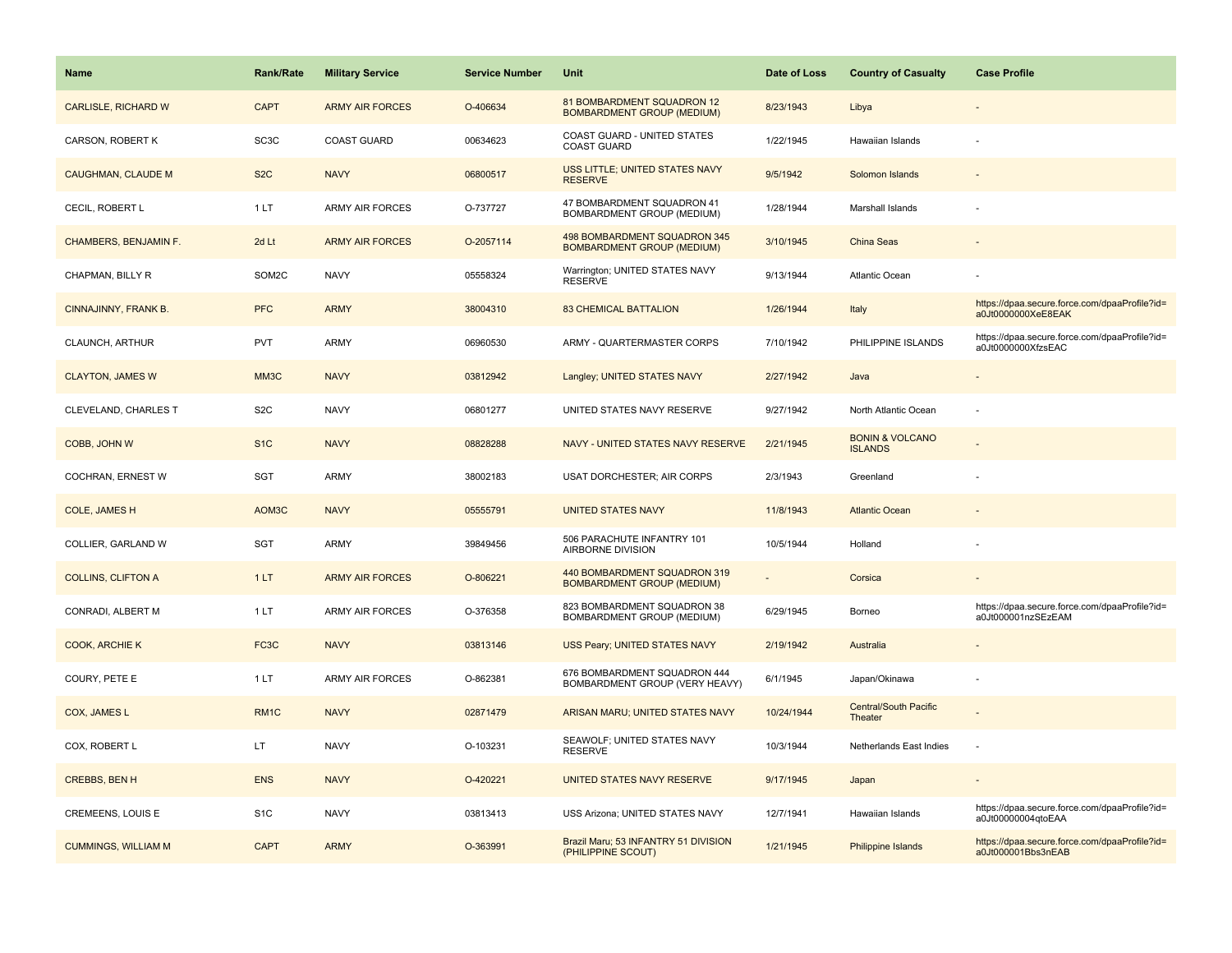| <b>Name</b>                | <b>Rank/Rate</b>  | <b>Military Service</b> | <b>Service Number</b> | <b>Unit</b>                                                       | Date of Loss | <b>Country of Casualty</b>                   | <b>Case Profile</b>                                                 |
|----------------------------|-------------------|-------------------------|-----------------------|-------------------------------------------------------------------|--------------|----------------------------------------------|---------------------------------------------------------------------|
| CARLISLE, RICHARD W        | <b>CAPT</b>       | <b>ARMY AIR FORCES</b>  | O-406634              | 81 BOMBARDMENT SQUADRON 12<br><b>BOMBARDMENT GROUP (MEDIUM)</b>   | 8/23/1943    | Libya                                        |                                                                     |
| CARSON, ROBERT K           | SC3C              | <b>COAST GUARD</b>      | 00634623              | COAST GUARD - UNITED STATES<br><b>COAST GUARD</b>                 | 1/22/1945    | Hawaiian Islands                             |                                                                     |
| <b>CAUGHMAN, CLAUDE M</b>  | S <sub>2</sub> C  | <b>NAVY</b>             | 06800517              | USS LITTLE; UNITED STATES NAVY<br><b>RESERVE</b>                  | 9/5/1942     | Solomon Islands                              |                                                                     |
| CECIL, ROBERT L            | 1LT               | <b>ARMY AIR FORCES</b>  | O-737727              | 47 BOMBARDMENT SQUADRON 41<br>BOMBARDMENT GROUP (MEDIUM)          | 1/28/1944    | Marshall Islands                             |                                                                     |
| CHAMBERS, BENJAMIN F.      | 2d Lt             | <b>ARMY AIR FORCES</b>  | O-2057114             | 498 BOMBARDMENT SQUADRON 345<br><b>BOMBARDMENT GROUP (MEDIUM)</b> | 3/10/1945    | China Seas                                   |                                                                     |
| CHAPMAN, BILLY R           | SOM2C             | <b>NAVY</b>             | 05558324              | Warrington; UNITED STATES NAVY<br><b>RESERVE</b>                  | 9/13/1944    | Atlantic Ocean                               |                                                                     |
| CINNAJINNY, FRANK B.       | <b>PFC</b>        | <b>ARMY</b>             | 38004310              | <b>83 CHEMICAL BATTALION</b>                                      | 1/26/1944    | Italy                                        | https://dpaa.secure.force.com/dpaaProfile?id=<br>a0Jt0000000XeE8EAK |
| CLAUNCH, ARTHUR            | <b>PVT</b>        | <b>ARMY</b>             | 06960530              | ARMY - QUARTERMASTER CORPS                                        | 7/10/1942    | PHILIPPINE ISLANDS                           | https://dpaa.secure.force.com/dpaaProfile?id=<br>a0Jt0000000XfzsEAC |
| <b>CLAYTON, JAMES W</b>    | MM3C              | <b>NAVY</b>             | 03812942              | Langley; UNITED STATES NAVY                                       | 2/27/1942    | Java                                         |                                                                     |
| CLEVELAND, CHARLES T       | S <sub>2</sub> C  | <b>NAVY</b>             | 06801277              | UNITED STATES NAVY RESERVE                                        | 9/27/1942    | North Atlantic Ocean                         |                                                                     |
| COBB, JOHN W               | S <sub>1</sub> C  | <b>NAVY</b>             | 08828288              | NAVY - UNITED STATES NAVY RESERVE                                 | 2/21/1945    | <b>BONIN &amp; VOLCANO</b><br><b>ISLANDS</b> |                                                                     |
| COCHRAN, ERNEST W          | SGT               | <b>ARMY</b>             | 38002183              | USAT DORCHESTER; AIR CORPS                                        | 2/3/1943     | Greenland                                    |                                                                     |
| <b>COLE, JAMES H</b>       | AOM3C             | <b>NAVY</b>             | 05555791              | <b>UNITED STATES NAVY</b>                                         | 11/8/1943    | <b>Atlantic Ocean</b>                        |                                                                     |
| COLLIER, GARLAND W         | SGT               | <b>ARMY</b>             | 39849456              | 506 PARACHUTE INFANTRY 101<br>AIRBORNE DIVISION                   | 10/5/1944    | Holland                                      |                                                                     |
| <b>COLLINS, CLIFTON A</b>  | 1LT               | <b>ARMY AIR FORCES</b>  | O-806221              | 440 BOMBARDMENT SQUADRON 319<br><b>BOMBARDMENT GROUP (MEDIUM)</b> |              | Corsica                                      |                                                                     |
| CONRADI, ALBERT M          | 1LT               | <b>ARMY AIR FORCES</b>  | O-376358              | 823 BOMBARDMENT SQUADRON 38<br>BOMBARDMENT GROUP (MEDIUM)         | 6/29/1945    | Borneo                                       | https://dpaa.secure.force.com/dpaaProfile?id=<br>a0Jt000001nzSEzEAM |
| <b>COOK, ARCHIE K</b>      | FC <sub>3</sub> C | <b>NAVY</b>             | 03813146              | USS Peary; UNITED STATES NAVY                                     | 2/19/1942    | Australia                                    |                                                                     |
| COURY, PETE E              | 1LT               | <b>ARMY AIR FORCES</b>  | O-862381              | 676 BOMBARDMENT SQUADRON 444<br>BOMBARDMENT GROUP (VERY HEAVY)    | 6/1/1945     | Japan/Okinawa                                |                                                                     |
| COX, JAMES L               | RM <sub>1C</sub>  | <b>NAVY</b>             | 02871479              | ARISAN MARU; UNITED STATES NAVY                                   | 10/24/1944   | <b>Central/South Pacific</b><br>Theater      |                                                                     |
| COX, ROBERT L              | LT.               | <b>NAVY</b>             | O-103231              | SEAWOLF; UNITED STATES NAVY<br><b>RESERVE</b>                     | 10/3/1944    | Netherlands East Indies                      |                                                                     |
| <b>CREBBS, BEN H</b>       | <b>ENS</b>        | <b>NAVY</b>             | O-420221              | UNITED STATES NAVY RESERVE                                        | 9/17/1945    | Japan                                        |                                                                     |
| <b>CREMEENS, LOUIS E</b>   | S <sub>1</sub> C  | <b>NAVY</b>             | 03813413              | USS Arizona; UNITED STATES NAVY                                   | 12/7/1941    | Hawaiian Islands                             | https://dpaa.secure.force.com/dpaaProfile?id=<br>a0Jt00000004qtoEAA |
| <b>CUMMINGS, WILLIAM M</b> | <b>CAPT</b>       | <b>ARMY</b>             | O-363991              | Brazil Maru; 53 INFANTRY 51 DIVISION<br>(PHILIPPINE SCOUT)        | 1/21/1945    | Philippine Islands                           | https://dpaa.secure.force.com/dpaaProfile?id=<br>a0Jt000001Bbs3nEAB |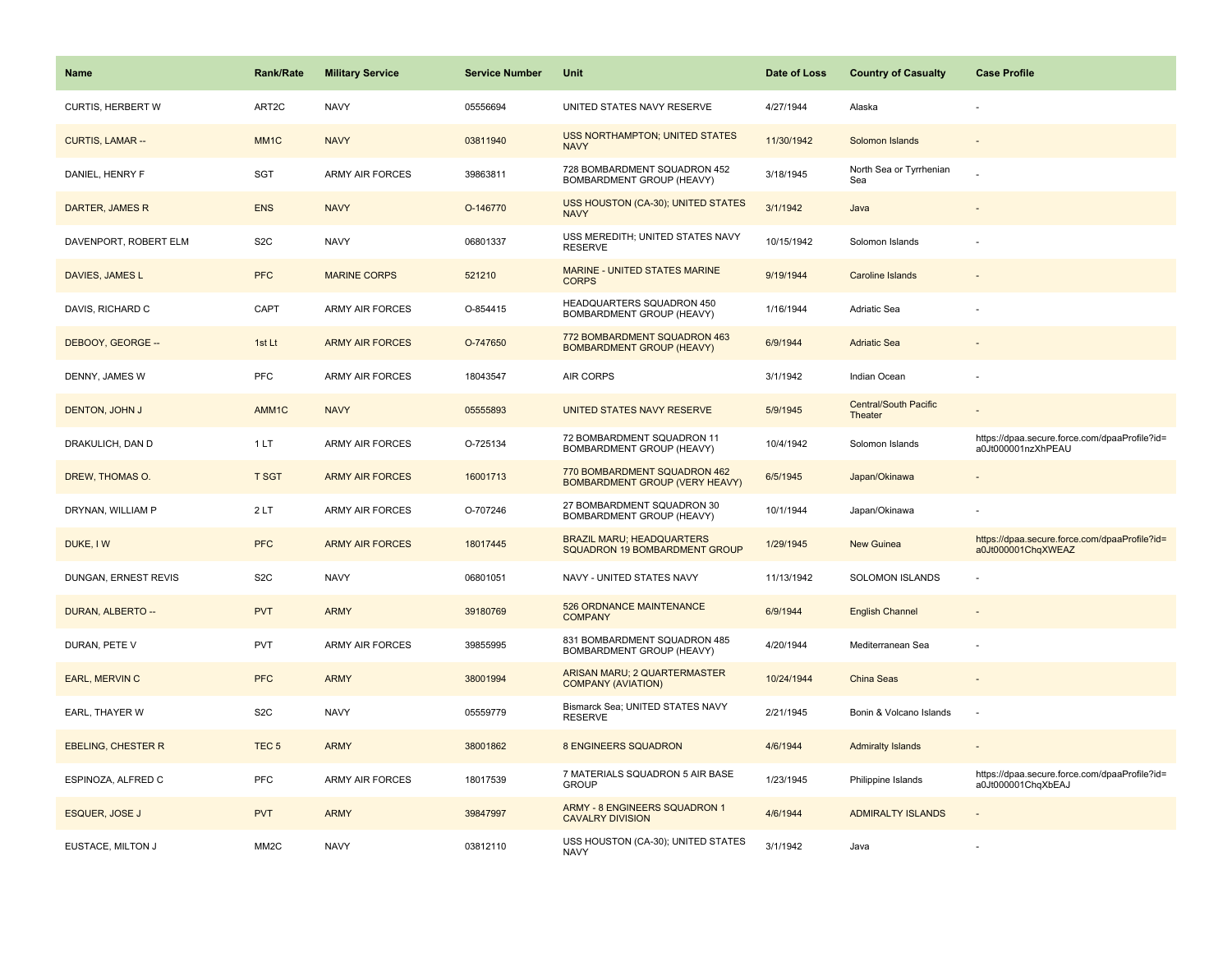| <b>Name</b>               | <b>Rank/Rate</b>  | <b>Military Service</b> | <b>Service Number</b> | Unit                                                                     | Date of Loss | <b>Country of Casualty</b>       | <b>Case Profile</b>                                                 |
|---------------------------|-------------------|-------------------------|-----------------------|--------------------------------------------------------------------------|--------------|----------------------------------|---------------------------------------------------------------------|
| <b>CURTIS, HERBERT W</b>  | ART2C             | <b>NAVY</b>             | 05556694              | UNITED STATES NAVY RESERVE                                               | 4/27/1944    | Alaska                           |                                                                     |
| <b>CURTIS, LAMAR --</b>   | MM <sub>1</sub> C | <b>NAVY</b>             | 03811940              | <b>USS NORTHAMPTON; UNITED STATES</b><br><b>NAVY</b>                     | 11/30/1942   | Solomon Islands                  |                                                                     |
| DANIEL, HENRY F           | SGT               | ARMY AIR FORCES         | 39863811              | 728 BOMBARDMENT SQUADRON 452<br>BOMBARDMENT GROUP (HEAVY)                | 3/18/1945    | North Sea or Tyrrhenian<br>Sea   |                                                                     |
| DARTER, JAMES R           | <b>ENS</b>        | <b>NAVY</b>             | O-146770              | USS HOUSTON (CA-30); UNITED STATES<br><b>NAVY</b>                        | 3/1/1942     | Java                             |                                                                     |
| DAVENPORT, ROBERT ELM     | S <sub>2</sub> C  | <b>NAVY</b>             | 06801337              | USS MEREDITH; UNITED STATES NAVY<br><b>RESERVE</b>                       | 10/15/1942   | Solomon Islands                  |                                                                     |
| DAVIES, JAMES L           | <b>PFC</b>        | <b>MARINE CORPS</b>     | 521210                | MARINE - UNITED STATES MARINE<br><b>CORPS</b>                            | 9/19/1944    | Caroline Islands                 |                                                                     |
| DAVIS, RICHARD C          | CAPT              | <b>ARMY AIR FORCES</b>  | O-854415              | HEADQUARTERS SQUADRON 450<br>BOMBARDMENT GROUP (HEAVY)                   | 1/16/1944    | Adriatic Sea                     |                                                                     |
| DEBOOY, GEORGE --         | 1st Lt            | <b>ARMY AIR FORCES</b>  | O-747650              | 772 BOMBARDMENT SQUADRON 463<br><b>BOMBARDMENT GROUP (HEAVY)</b>         | 6/9/1944     | <b>Adriatic Sea</b>              |                                                                     |
| DENNY, JAMES W            | <b>PFC</b>        | <b>ARMY AIR FORCES</b>  | 18043547              | <b>AIR CORPS</b>                                                         | 3/1/1942     | Indian Ocean                     |                                                                     |
| DENTON, JOHN J            | AMM1C             | <b>NAVY</b>             | 05555893              | UNITED STATES NAVY RESERVE                                               | 5/9/1945     | Central/South Pacific<br>Theater |                                                                     |
| DRAKULICH, DAN D          | 1 LT              | <b>ARMY AIR FORCES</b>  | O-725134              | 72 BOMBARDMENT SQUADRON 11<br>BOMBARDMENT GROUP (HEAVY)                  | 10/4/1942    | Solomon Islands                  | https://dpaa.secure.force.com/dpaaProfile?id=<br>a0Jt000001nzXhPEAU |
| DREW, THOMAS O.           | <b>T SGT</b>      | <b>ARMY AIR FORCES</b>  | 16001713              | 770 BOMBARDMENT SQUADRON 462<br><b>BOMBARDMENT GROUP (VERY HEAVY)</b>    | 6/5/1945     | Japan/Okinawa                    |                                                                     |
| DRYNAN, WILLIAM P         | 2LT               | <b>ARMY AIR FORCES</b>  | O-707246              | 27 BOMBARDMENT SQUADRON 30<br>BOMBARDMENT GROUP (HEAVY)                  | 10/1/1944    | Japan/Okinawa                    |                                                                     |
| DUKE, IW                  | <b>PFC</b>        | <b>ARMY AIR FORCES</b>  | 18017445              | <b>BRAZIL MARU; HEADQUARTERS</b><br><b>SQUADRON 19 BOMBARDMENT GROUP</b> | 1/29/1945    | New Guinea                       | https://dpaa.secure.force.com/dpaaProfile?id=<br>a0Jt000001ChqXWEAZ |
| DUNGAN, ERNEST REVIS      | S <sub>2</sub> C  | <b>NAVY</b>             | 06801051              | NAVY - UNITED STATES NAVY                                                | 11/13/1942   | SOLOMON ISLANDS                  |                                                                     |
| DURAN, ALBERTO --         | <b>PVT</b>        | <b>ARMY</b>             | 39180769              | 526 ORDNANCE MAINTENANCE<br><b>COMPANY</b>                               | 6/9/1944     | <b>English Channel</b>           |                                                                     |
| DURAN, PETE V             | <b>PVT</b>        | ARMY AIR FORCES         | 39855995              | 831 BOMBARDMENT SQUADRON 485<br>BOMBARDMENT GROUP (HEAVY)                | 4/20/1944    | Mediterranean Sea                |                                                                     |
| EARL, MERVIN C            | <b>PFC</b>        | <b>ARMY</b>             | 38001994              | ARISAN MARU; 2 QUARTERMASTER<br><b>COMPANY (AVIATION)</b>                | 10/24/1944   | <b>China Seas</b>                |                                                                     |
| EARL, THAYER W            | S <sub>2</sub> C  | <b>NAVY</b>             | 05559779              | Bismarck Sea; UNITED STATES NAVY<br><b>RESERVE</b>                       | 2/21/1945    | Bonin & Volcano Islands          |                                                                     |
| <b>EBELING, CHESTER R</b> | TEC <sub>5</sub>  | <b>ARMY</b>             | 38001862              | 8 ENGINEERS SQUADRON                                                     | 4/6/1944     | <b>Admiralty Islands</b>         |                                                                     |
| ESPINOZA, ALFRED C        | <b>PFC</b>        | ARMY AIR FORCES         | 18017539              | 7 MATERIALS SQUADRON 5 AIR BASE<br><b>GROUP</b>                          | 1/23/1945    | Philippine Islands               | https://dpaa.secure.force.com/dpaaProfile?id=<br>a0Jt000001ChqXbEAJ |
| <b>ESQUER, JOSE J</b>     | <b>PVT</b>        | <b>ARMY</b>             | 39847997              | ARMY - 8 ENGINEERS SQUADRON 1<br><b>CAVALRY DIVISION</b>                 | 4/6/1944     | <b>ADMIRALTY ISLANDS</b>         |                                                                     |
| EUSTACE, MILTON J         | MM <sub>2</sub> C | <b>NAVY</b>             | 03812110              | USS HOUSTON (CA-30); UNITED STATES<br><b>NAVY</b>                        | 3/1/1942     | Java                             |                                                                     |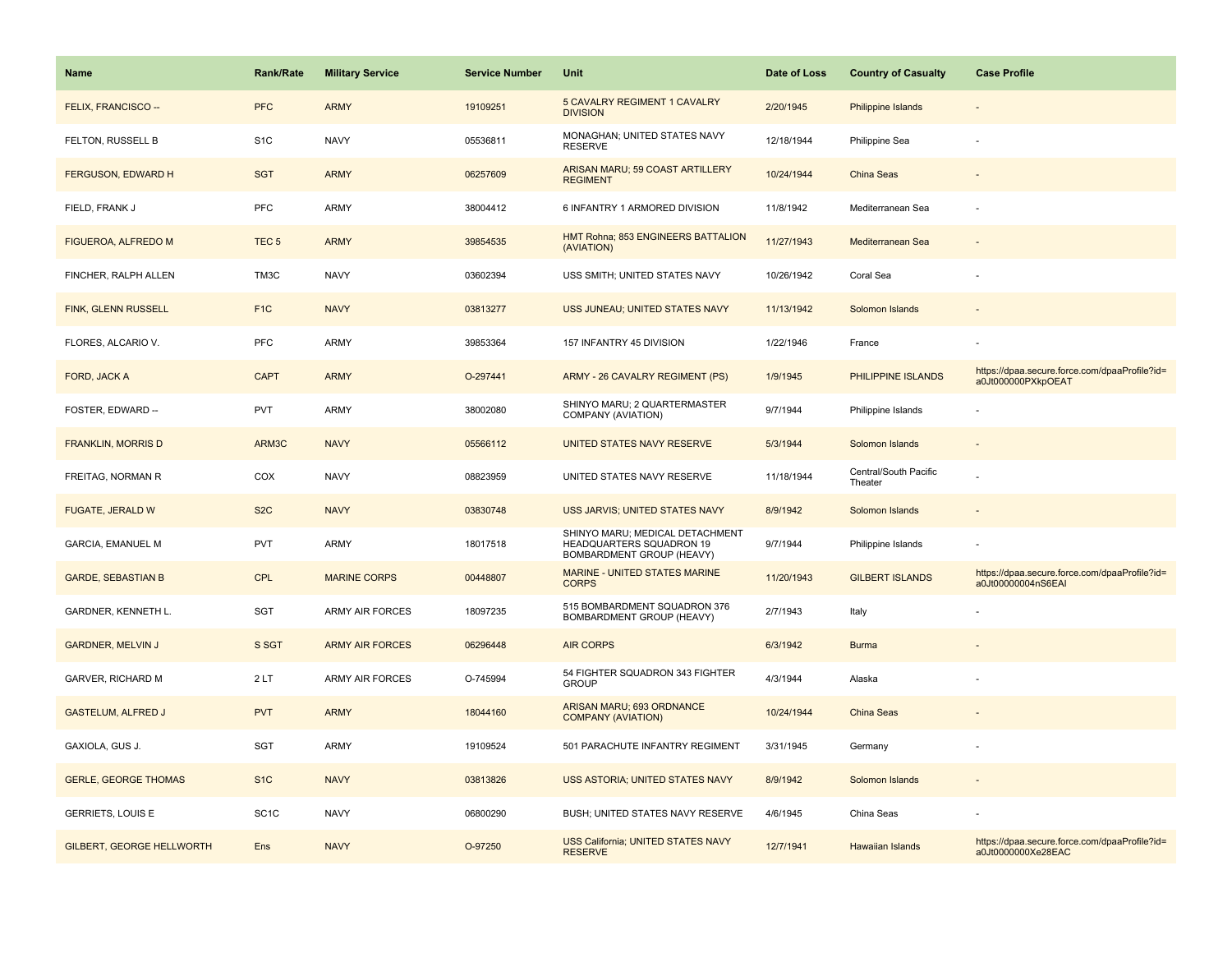| <b>Name</b>                      | Rank/Rate         | <b>Military Service</b> | <b>Service Number</b> | <b>Unit</b>                                                                                     | Date of Loss | <b>Country of Casualty</b>       | <b>Case Profile</b>                                                 |
|----------------------------------|-------------------|-------------------------|-----------------------|-------------------------------------------------------------------------------------------------|--------------|----------------------------------|---------------------------------------------------------------------|
| FELIX, FRANCISCO --              | <b>PFC</b>        | <b>ARMY</b>             | 19109251              | 5 CAVALRY REGIMENT 1 CAVALRY<br><b>DIVISION</b>                                                 | 2/20/1945    | <b>Philippine Islands</b>        |                                                                     |
| FELTON, RUSSELL B                | S <sub>1</sub> C  | <b>NAVY</b>             | 05536811              | MONAGHAN; UNITED STATES NAVY<br><b>RESERVE</b>                                                  | 12/18/1944   | Philippine Sea                   |                                                                     |
| FERGUSON, EDWARD H               | <b>SGT</b>        | <b>ARMY</b>             | 06257609              | ARISAN MARU; 59 COAST ARTILLERY<br><b>REGIMENT</b>                                              | 10/24/1944   | <b>China Seas</b>                |                                                                     |
| FIELD, FRANK J                   | <b>PFC</b>        | ARMY                    | 38004412              | 6 INFANTRY 1 ARMORED DIVISION                                                                   | 11/8/1942    | Mediterranean Sea                |                                                                     |
| FIGUEROA, ALFREDO M              | TEC <sub>5</sub>  | <b>ARMY</b>             | 39854535              | HMT Rohna; 853 ENGINEERS BATTALION<br>(AVIATION)                                                | 11/27/1943   | Mediterranean Sea                |                                                                     |
| FINCHER, RALPH ALLEN             | TM3C              | <b>NAVY</b>             | 03602394              | USS SMITH; UNITED STATES NAVY                                                                   | 10/26/1942   | Coral Sea                        |                                                                     |
| <b>FINK, GLENN RUSSELL</b>       | F <sub>1</sub> C  | <b>NAVY</b>             | 03813277              | USS JUNEAU; UNITED STATES NAVY                                                                  | 11/13/1942   | Solomon Islands                  |                                                                     |
| FLORES, ALCARIO V.               | <b>PFC</b>        | <b>ARMY</b>             | 39853364              | 157 INFANTRY 45 DIVISION                                                                        | 1/22/1946    | France                           |                                                                     |
| FORD, JACK A                     | <b>CAPT</b>       | <b>ARMY</b>             | O-297441              | ARMY - 26 CAVALRY REGIMENT (PS)                                                                 | 1/9/1945     | PHILIPPINE ISLANDS               | https://dpaa.secure.force.com/dpaaProfile?id=<br>a0Jt000000PXkpOEAT |
| FOSTER, EDWARD --                | <b>PVT</b>        | <b>ARMY</b>             | 38002080              | SHINYO MARU; 2 QUARTERMASTER<br>COMPANY (AVIATION)                                              | 9/7/1944     | Philippine Islands               |                                                                     |
| <b>FRANKLIN, MORRIS D</b>        | ARM3C             | <b>NAVY</b>             | 05566112              | UNITED STATES NAVY RESERVE                                                                      | 5/3/1944     | Solomon Islands                  |                                                                     |
| FREITAG, NORMAN R                | COX               | <b>NAVY</b>             | 08823959              | UNITED STATES NAVY RESERVE                                                                      | 11/18/1944   | Central/South Pacific<br>Theater |                                                                     |
| FUGATE, JERALD W                 | S <sub>2</sub> C  | <b>NAVY</b>             | 03830748              | USS JARVIS; UNITED STATES NAVY                                                                  | 8/9/1942     | Solomon Islands                  |                                                                     |
| <b>GARCIA, EMANUEL M</b>         | <b>PVT</b>        | ARMY                    | 18017518              | SHINYO MARU; MEDICAL DETACHMENT<br>HEADQUARTERS SQUADRON 19<br><b>BOMBARDMENT GROUP (HEAVY)</b> | 9/7/1944     | Philippine Islands               |                                                                     |
| <b>GARDE, SEBASTIAN B</b>        | CPL               | <b>MARINE CORPS</b>     | 00448807              | <b>MARINE - UNITED STATES MARINE</b><br><b>CORPS</b>                                            | 11/20/1943   | <b>GILBERT ISLANDS</b>           | https://dpaa.secure.force.com/dpaaProfile?id=<br>a0Jt00000004nS6EAI |
| GARDNER, KENNETH L.              | SGT               | <b>ARMY AIR FORCES</b>  | 18097235              | 515 BOMBARDMENT SQUADRON 376<br>BOMBARDMENT GROUP (HEAVY)                                       | 2/7/1943     | Italy                            |                                                                     |
| <b>GARDNER, MELVIN J</b>         | S SGT             | <b>ARMY AIR FORCES</b>  | 06296448              | <b>AIR CORPS</b>                                                                                | 6/3/1942     | <b>Burma</b>                     |                                                                     |
| <b>GARVER, RICHARD M</b>         | 2LT               | <b>ARMY AIR FORCES</b>  | O-745994              | 54 FIGHTER SQUADRON 343 FIGHTER<br><b>GROUP</b>                                                 | 4/3/1944     | Alaska                           |                                                                     |
| <b>GASTELUM, ALFRED J</b>        | <b>PVT</b>        | <b>ARMY</b>             | 18044160              | ARISAN MARU; 693 ORDNANCE<br><b>COMPANY (AVIATION)</b>                                          | 10/24/1944   | <b>China Seas</b>                |                                                                     |
| GAXIOLA, GUS J.                  | SGT               | ARMY                    | 19109524              | 501 PARACHUTE INFANTRY REGIMENT                                                                 | 3/31/1945    | Germany                          |                                                                     |
| <b>GERLE, GEORGE THOMAS</b>      | S <sub>1</sub> C  | <b>NAVY</b>             | 03813826              | USS ASTORIA; UNITED STATES NAVY                                                                 | 8/9/1942     | Solomon Islands                  |                                                                     |
| <b>GERRIETS, LOUIS E</b>         | SC <sub>1</sub> C | <b>NAVY</b>             | 06800290              | BUSH; UNITED STATES NAVY RESERVE                                                                | 4/6/1945     | China Seas                       |                                                                     |
| <b>GILBERT, GEORGE HELLWORTH</b> | Ens               | <b>NAVY</b>             | O-97250               | USS California; UNITED STATES NAVY<br><b>RESERVE</b>                                            | 12/7/1941    | Hawaiian Islands                 | https://dpaa.secure.force.com/dpaaProfile?id=<br>a0Jt0000000Xe28EAC |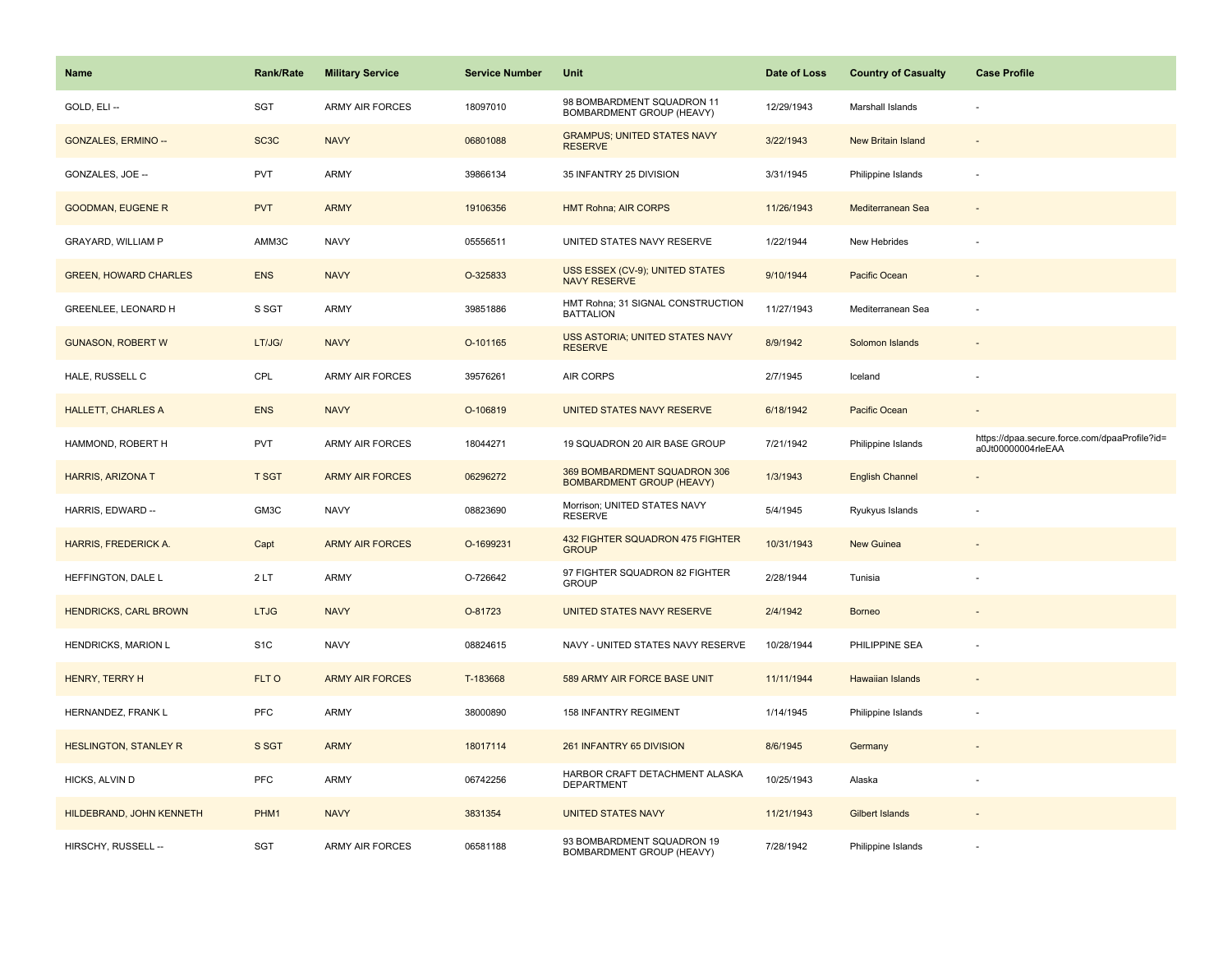| Name                         | <b>Rank/Rate</b>  | <b>Military Service</b> | <b>Service Number</b> | Unit                                                             | Date of Loss | <b>Country of Casualty</b> | <b>Case Profile</b>                                                 |
|------------------------------|-------------------|-------------------------|-----------------------|------------------------------------------------------------------|--------------|----------------------------|---------------------------------------------------------------------|
| GOLD, ELI --                 | SGT               | <b>ARMY AIR FORCES</b>  | 18097010              | 98 BOMBARDMENT SQUADRON 11<br>BOMBARDMENT GROUP (HEAVY)          | 12/29/1943   | Marshall Islands           |                                                                     |
| <b>GONZALES, ERMINO --</b>   | SC <sub>3</sub> C | <b>NAVY</b>             | 06801088              | <b>GRAMPUS; UNITED STATES NAVY</b><br><b>RESERVE</b>             | 3/22/1943    | New Britain Island         |                                                                     |
| GONZALES, JOE --             | <b>PVT</b>        | ARMY                    | 39866134              | 35 INFANTRY 25 DIVISION                                          | 3/31/1945    | Philippine Islands         |                                                                     |
| <b>GOODMAN, EUGENE R</b>     | <b>PVT</b>        | <b>ARMY</b>             | 19106356              | <b>HMT Rohna; AIR CORPS</b>                                      | 11/26/1943   | Mediterranean Sea          |                                                                     |
| <b>GRAYARD, WILLIAM P</b>    | AMM3C             | <b>NAVY</b>             | 05556511              | UNITED STATES NAVY RESERVE                                       | 1/22/1944    | New Hebrides               |                                                                     |
| <b>GREEN, HOWARD CHARLES</b> | <b>ENS</b>        | <b>NAVY</b>             | O-325833              | <b>USS ESSEX (CV-9); UNITED STATES</b><br><b>NAVY RESERVE</b>    | 9/10/1944    | Pacific Ocean              |                                                                     |
| GREENLEE, LEONARD H          | S SGT             | <b>ARMY</b>             | 39851886              | HMT Rohna; 31 SIGNAL CONSTRUCTION<br><b>BATTALION</b>            | 11/27/1943   | Mediterranean Sea          |                                                                     |
| <b>GUNASON, ROBERT W</b>     | LT/JG/            | <b>NAVY</b>             | O-101165              | USS ASTORIA; UNITED STATES NAVY<br><b>RESERVE</b>                | 8/9/1942     | Solomon Islands            |                                                                     |
| HALE, RUSSELL C              | CPL               | <b>ARMY AIR FORCES</b>  | 39576261              | <b>AIR CORPS</b>                                                 | 2/7/1945     | Iceland                    |                                                                     |
| <b>HALLETT, CHARLES A</b>    | <b>ENS</b>        | <b>NAVY</b>             | O-106819              | UNITED STATES NAVY RESERVE                                       | 6/18/1942    | Pacific Ocean              |                                                                     |
| HAMMOND, ROBERT H            | PVT               | <b>ARMY AIR FORCES</b>  | 18044271              | 19 SQUADRON 20 AIR BASE GROUP                                    | 7/21/1942    | Philippine Islands         | https://dpaa.secure.force.com/dpaaProfile?id=<br>a0Jt00000004rleEAA |
| HARRIS, ARIZONA T            | <b>T SGT</b>      | <b>ARMY AIR FORCES</b>  | 06296272              | 369 BOMBARDMENT SQUADRON 306<br><b>BOMBARDMENT GROUP (HEAVY)</b> | 1/3/1943     | <b>English Channel</b>     |                                                                     |
| HARRIS, EDWARD --            | GM3C              | <b>NAVY</b>             | 08823690              | Morrison; UNITED STATES NAVY<br><b>RESERVE</b>                   | 5/4/1945     | Ryukyus Islands            |                                                                     |
| HARRIS, FREDERICK A.         | Capt              | <b>ARMY AIR FORCES</b>  | O-1699231             | 432 FIGHTER SQUADRON 475 FIGHTER<br><b>GROUP</b>                 | 10/31/1943   | New Guinea                 |                                                                     |
| HEFFINGTON, DALE L           | 2LT               | <b>ARMY</b>             | O-726642              | 97 FIGHTER SQUADRON 82 FIGHTER<br><b>GROUP</b>                   | 2/28/1944    | Tunisia                    |                                                                     |
| <b>HENDRICKS, CARL BROWN</b> | <b>LTJG</b>       | <b>NAVY</b>             | O-81723               | UNITED STATES NAVY RESERVE                                       | 2/4/1942     | <b>Borneo</b>              |                                                                     |
| HENDRICKS, MARION L          | S <sub>1</sub> C  | <b>NAVY</b>             | 08824615              | NAVY - UNITED STATES NAVY RESERVE                                | 10/28/1944   | PHILIPPINE SEA             |                                                                     |
| HENRY, TERRY H               | FLT O             | <b>ARMY AIR FORCES</b>  | T-183668              | 589 ARMY AIR FORCE BASE UNIT                                     | 11/11/1944   | Hawaiian Islands           |                                                                     |
| HERNANDEZ, FRANK L           | PFC               | <b>ARMY</b>             | 38000890              | 158 INFANTRY REGIMENT                                            | 1/14/1945    | Philippine Islands         |                                                                     |
| <b>HESLINGTON, STANLEY R</b> | S SGT             | <b>ARMY</b>             | 18017114              | 261 INFANTRY 65 DIVISION                                         | 8/6/1945     | Germany                    |                                                                     |
| HICKS, ALVIN D               | PFC               | ARMY                    | 06742256              | HARBOR CRAFT DETACHMENT ALASKA<br><b>DEPARTMENT</b>              | 10/25/1943   | Alaska                     |                                                                     |
| HILDEBRAND, JOHN KENNETH     | PHM1              | <b>NAVY</b>             | 3831354               | <b>UNITED STATES NAVY</b>                                        | 11/21/1943   | Gilbert Islands            |                                                                     |
| HIRSCHY, RUSSELL --          | <b>SGT</b>        | ARMY AIR FORCES         | 06581188              | 93 BOMBARDMENT SQUADRON 19<br>BOMBARDMENT GROUP (HEAVY)          | 7/28/1942    | Philippine Islands         |                                                                     |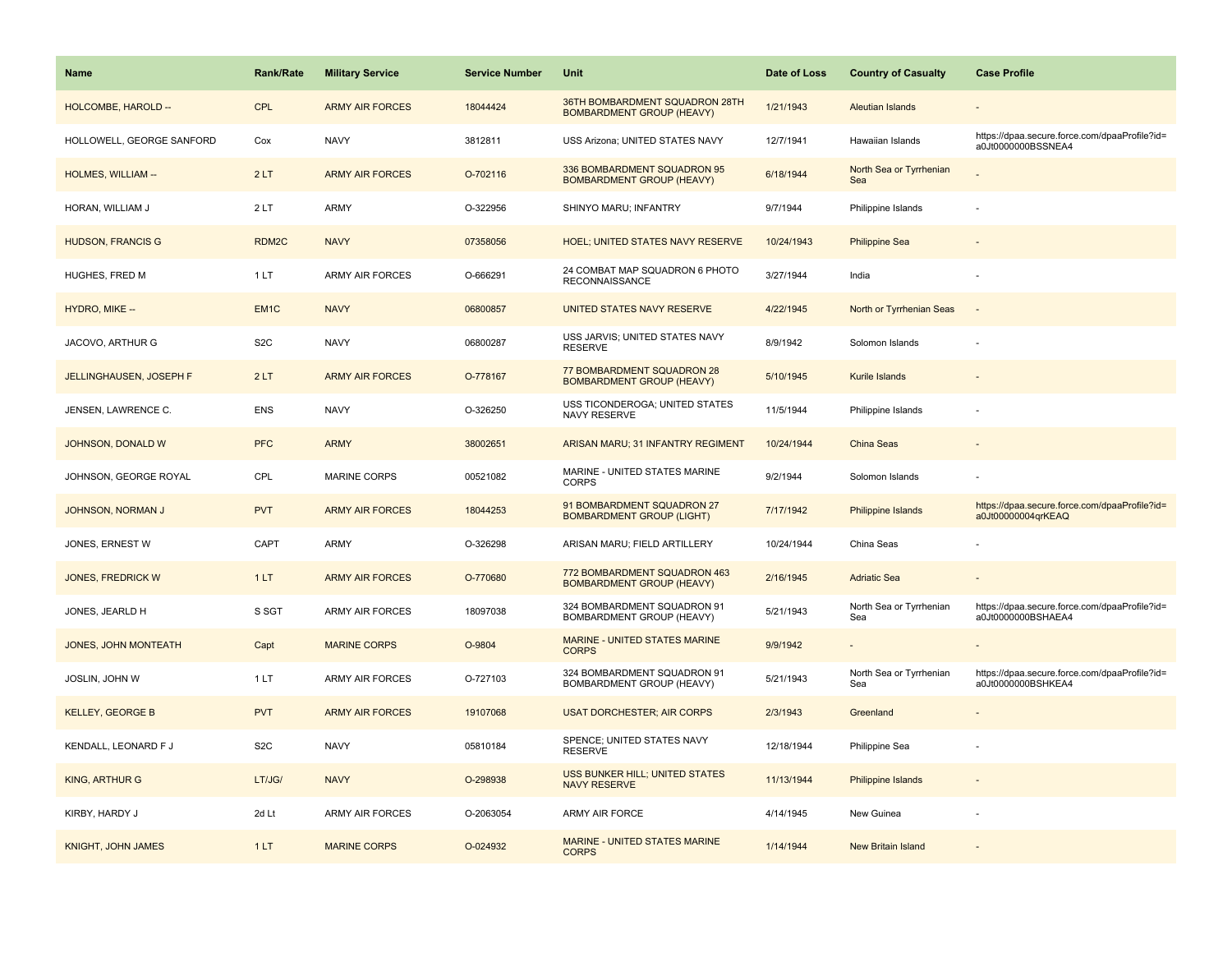| Name                           | <b>Rank/Rate</b> | <b>Military Service</b> | <b>Service Number</b> | Unit                                                               | Date of Loss | <b>Country of Casualty</b>     | <b>Case Profile</b>                                                 |
|--------------------------------|------------------|-------------------------|-----------------------|--------------------------------------------------------------------|--------------|--------------------------------|---------------------------------------------------------------------|
| HOLCOMBE, HAROLD --            | <b>CPL</b>       | <b>ARMY AIR FORCES</b>  | 18044424              | 36TH BOMBARDMENT SQUADRON 28TH<br><b>BOMBARDMENT GROUP (HEAVY)</b> | 1/21/1943    | <b>Aleutian Islands</b>        |                                                                     |
| HOLLOWELL, GEORGE SANFORD      | Cox              | <b>NAVY</b>             | 3812811               | USS Arizona; UNITED STATES NAVY                                    | 12/7/1941    | Hawaiian Islands               | https://dpaa.secure.force.com/dpaaProfile?id=<br>a0Jt0000000BSSNEA4 |
| HOLMES, WILLIAM --             | 2LT              | <b>ARMY AIR FORCES</b>  | O-702116              | 336 BOMBARDMENT SQUADRON 95<br><b>BOMBARDMENT GROUP (HEAVY)</b>    | 6/18/1944    | North Sea or Tyrrhenian<br>Sea |                                                                     |
| HORAN, WILLIAM J               | 2LT              | <b>ARMY</b>             | O-322956              | SHINYO MARU; INFANTRY                                              | 9/7/1944     | Philippine Islands             |                                                                     |
| <b>HUDSON, FRANCIS G</b>       | RDM2C            | <b>NAVY</b>             | 07358056              | <b>HOEL; UNITED STATES NAVY RESERVE</b>                            | 10/24/1943   | <b>Philippine Sea</b>          |                                                                     |
| HUGHES, FRED M                 | 1 LT             | <b>ARMY AIR FORCES</b>  | O-666291              | 24 COMBAT MAP SQUADRON 6 PHOTO<br><b>RECONNAISSANCE</b>            | 3/27/1944    | India                          |                                                                     |
| HYDRO, MIKE --                 | EM <sub>1C</sub> | <b>NAVY</b>             | 06800857              | UNITED STATES NAVY RESERVE                                         | 4/22/1945    | North or Tyrrhenian Seas       | $\sim$                                                              |
| JACOVO, ARTHUR G               | S <sub>2</sub> C | <b>NAVY</b>             | 06800287              | USS JARVIS; UNITED STATES NAVY<br><b>RESERVE</b>                   | 8/9/1942     | Solomon Islands                |                                                                     |
| <b>JELLINGHAUSEN, JOSEPH F</b> | 2LT              | <b>ARMY AIR FORCES</b>  | O-778167              | 77 BOMBARDMENT SQUADRON 28<br><b>BOMBARDMENT GROUP (HEAVY)</b>     | 5/10/1945    | Kurile Islands                 |                                                                     |
| JENSEN, LAWRENCE C.            | ENS              | <b>NAVY</b>             | O-326250              | USS TICONDEROGA; UNITED STATES<br>NAVY RESERVE                     | 11/5/1944    | Philippine Islands             |                                                                     |
| JOHNSON, DONALD W              | <b>PFC</b>       | <b>ARMY</b>             | 38002651              | ARISAN MARU; 31 INFANTRY REGIMENT                                  | 10/24/1944   | <b>China Seas</b>              |                                                                     |
| JOHNSON, GEORGE ROYAL          | CPL              | MARINE CORPS            | 00521082              | MARINE - UNITED STATES MARINE<br><b>CORPS</b>                      | 9/2/1944     | Solomon Islands                |                                                                     |
| <b>JOHNSON, NORMAN J</b>       | <b>PVT</b>       | <b>ARMY AIR FORCES</b>  | 18044253              | 91 BOMBARDMENT SQUADRON 27<br><b>BOMBARDMENT GROUP (LIGHT)</b>     | 7/17/1942    | <b>Philippine Islands</b>      | https://dpaa.secure.force.com/dpaaProfile?id=<br>a0Jt00000004qrKEAQ |
| JONES, ERNEST W                | CAPT             | ARMY                    | O-326298              | ARISAN MARU; FIELD ARTILLERY                                       | 10/24/1944   | China Seas                     |                                                                     |
| <b>JONES, FREDRICK W</b>       | 1LT              | <b>ARMY AIR FORCES</b>  | O-770680              | 772 BOMBARDMENT SQUADRON 463<br><b>BOMBARDMENT GROUP (HEAVY)</b>   | 2/16/1945    | <b>Adriatic Sea</b>            |                                                                     |
| JONES, JEARLD H                | S SGT            | <b>ARMY AIR FORCES</b>  | 18097038              | 324 BOMBARDMENT SQUADRON 91<br><b>BOMBARDMENT GROUP (HEAVY)</b>    | 5/21/1943    | North Sea or Tyrrhenian<br>Sea | https://dpaa.secure.force.com/dpaaProfile?id=<br>a0Jt0000000BSHAEA4 |
| <b>JONES, JOHN MONTEATH</b>    | Capt             | <b>MARINE CORPS</b>     | O-9804                | MARINE - UNITED STATES MARINE<br><b>CORPS</b>                      | 9/9/1942     |                                |                                                                     |
| JOSLIN, JOHN W                 | 1LT              | <b>ARMY AIR FORCES</b>  | O-727103              | 324 BOMBARDMENT SQUADRON 91<br>BOMBARDMENT GROUP (HEAVY)           | 5/21/1943    | North Sea or Tyrrhenian<br>Sea | https://dpaa.secure.force.com/dpaaProfile?id=<br>a0Jt0000000BSHKEA4 |
| <b>KELLEY, GEORGE B</b>        | <b>PVT</b>       | <b>ARMY AIR FORCES</b>  | 19107068              | <b>USAT DORCHESTER; AIR CORPS</b>                                  | 2/3/1943     | Greenland                      |                                                                     |
| KENDALL, LEONARD F J           | S <sub>2</sub> C | <b>NAVY</b>             | 05810184              | SPENCE; UNITED STATES NAVY<br><b>RESERVE</b>                       | 12/18/1944   | Philippine Sea                 |                                                                     |
| <b>KING, ARTHURG</b>           | LT/JG/           | <b>NAVY</b>             | O-298938              | USS BUNKER HILL: UNITED STATES<br><b>NAVY RESERVE</b>              | 11/13/1944   | <b>Philippine Islands</b>      |                                                                     |
| KIRBY, HARDY J                 | 2d Lt            | <b>ARMY AIR FORCES</b>  | O-2063054             | ARMY AIR FORCE                                                     | 4/14/1945    | New Guinea                     |                                                                     |
| <b>KNIGHT, JOHN JAMES</b>      | 1LT              | <b>MARINE CORPS</b>     | O-024932              | <b>MARINE - UNITED STATES MARINE</b><br><b>CORPS</b>               | 1/14/1944    | <b>New Britain Island</b>      |                                                                     |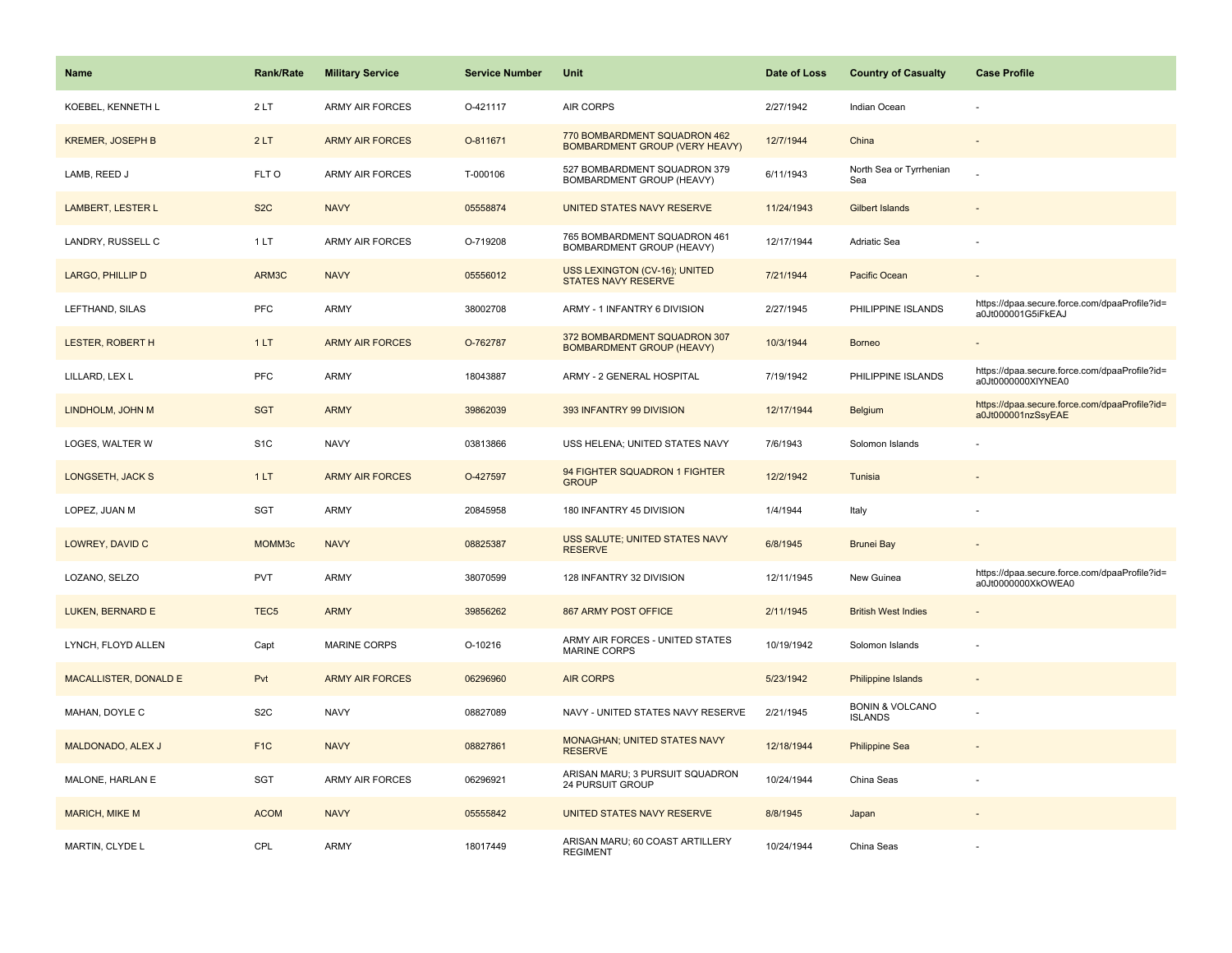| <b>Name</b>              | <b>Rank/Rate</b> | <b>Military Service</b> | <b>Service Number</b> | Unit                                                                  | Date of Loss | <b>Country of Casualty</b>                   | <b>Case Profile</b>                                                 |
|--------------------------|------------------|-------------------------|-----------------------|-----------------------------------------------------------------------|--------------|----------------------------------------------|---------------------------------------------------------------------|
| KOEBEL, KENNETH L        | 2LT              | ARMY AIR FORCES         | O-421117              | <b>AIR CORPS</b>                                                      | 2/27/1942    | Indian Ocean                                 |                                                                     |
| <b>KREMER, JOSEPH B</b>  | 2LT              | <b>ARMY AIR FORCES</b>  | O-811671              | 770 BOMBARDMENT SQUADRON 462<br><b>BOMBARDMENT GROUP (VERY HEAVY)</b> | 12/7/1944    | China                                        |                                                                     |
| LAMB, REED J             | FLT O            | <b>ARMY AIR FORCES</b>  | T-000106              | 527 BOMBARDMENT SQUADRON 379<br>BOMBARDMENT GROUP (HEAVY)             | 6/11/1943    | North Sea or Tyrrhenian<br>Sea               |                                                                     |
| <b>LAMBERT, LESTER L</b> | S <sub>2</sub> C | <b>NAVY</b>             | 05558874              | UNITED STATES NAVY RESERVE                                            | 11/24/1943   | <b>Gilbert Islands</b>                       |                                                                     |
| LANDRY, RUSSELL C        | 1LT              | <b>ARMY AIR FORCES</b>  | O-719208              | 765 BOMBARDMENT SQUADRON 461<br>BOMBARDMENT GROUP (HEAVY)             | 12/17/1944   | Adriatic Sea                                 |                                                                     |
| LARGO, PHILLIP D         | ARM3C            | <b>NAVY</b>             | 05556012              | USS LEXINGTON (CV-16); UNITED<br><b>STATES NAVY RESERVE</b>           | 7/21/1944    | Pacific Ocean                                |                                                                     |
| LEFTHAND, SILAS          | <b>PFC</b>       | ARMY                    | 38002708              | ARMY - 1 INFANTRY 6 DIVISION                                          | 2/27/1945    | PHILIPPINE ISLANDS                           | https://dpaa.secure.force.com/dpaaProfile?id=<br>a0Jt000001G5iFkEAJ |
| <b>LESTER, ROBERT H</b>  | 1LT              | <b>ARMY AIR FORCES</b>  | O-762787              | 372 BOMBARDMENT SQUADRON 307<br><b>BOMBARDMENT GROUP (HEAVY)</b>      | 10/3/1944    | <b>Borneo</b>                                |                                                                     |
| LILLARD, LEX L           | <b>PFC</b>       | <b>ARMY</b>             | 18043887              | ARMY - 2 GENERAL HOSPITAL                                             | 7/19/1942    | PHILIPPINE ISLANDS                           | https://dpaa.secure.force.com/dpaaProfile?id=<br>a0Jt0000000XIYNEA0 |
| LINDHOLM, JOHN M         | <b>SGT</b>       | <b>ARMY</b>             | 39862039              | 393 INFANTRY 99 DIVISION                                              | 12/17/1944   | Belgium                                      | https://dpaa.secure.force.com/dpaaProfile?id=<br>a0Jt000001nzSsyEAE |
| LOGES, WALTER W          | S <sub>1</sub> C | <b>NAVY</b>             | 03813866              | USS HELENA; UNITED STATES NAVY                                        | 7/6/1943     | Solomon Islands                              |                                                                     |
| LONGSETH, JACK S         | 1LT              | <b>ARMY AIR FORCES</b>  | O-427597              | 94 FIGHTER SQUADRON 1 FIGHTER<br><b>GROUP</b>                         | 12/2/1942    | Tunisia                                      |                                                                     |
| LOPEZ, JUAN M            | <b>SGT</b>       | <b>ARMY</b>             | 20845958              | 180 INFANTRY 45 DIVISION                                              | 1/4/1944     | Italy                                        |                                                                     |
| LOWREY, DAVID C          | MOMM3c           | <b>NAVY</b>             | 08825387              | USS SALUTE; UNITED STATES NAVY<br><b>RESERVE</b>                      | 6/8/1945     | <b>Brunei Bay</b>                            |                                                                     |
| LOZANO, SELZO            | <b>PVT</b>       | <b>ARMY</b>             | 38070599              | 128 INFANTRY 32 DIVISION                                              | 12/11/1945   | New Guinea                                   | https://dpaa.secure.force.com/dpaaProfile?id=<br>a0Jt0000000XkOWEA0 |
| LUKEN, BERNARD E         | TEC <sub>5</sub> | <b>ARMY</b>             | 39856262              | 867 ARMY POST OFFICE                                                  | 2/11/1945    | <b>British West Indies</b>                   |                                                                     |
| LYNCH, FLOYD ALLEN       | Capt             | MARINE CORPS            | O-10216               | ARMY AIR FORCES - UNITED STATES<br><b>MARINE CORPS</b>                | 10/19/1942   | Solomon Islands                              |                                                                     |
| MACALLISTER, DONALD E    | Pvt              | <b>ARMY AIR FORCES</b>  | 06296960              | <b>AIR CORPS</b>                                                      | 5/23/1942    | Philippine Islands                           |                                                                     |
| MAHAN, DOYLE C           | S <sub>2</sub> C | <b>NAVY</b>             | 08827089              | NAVY - UNITED STATES NAVY RESERVE                                     | 2/21/1945    | <b>BONIN &amp; VOLCANO</b><br><b>ISLANDS</b> |                                                                     |
| MALDONADO, ALEX J        | F <sub>1C</sub>  | <b>NAVY</b>             | 08827861              | MONAGHAN; UNITED STATES NAVY<br><b>RESERVE</b>                        | 12/18/1944   | <b>Philippine Sea</b>                        |                                                                     |
| MALONE, HARLAN E         | <b>SGT</b>       | ARMY AIR FORCES         | 06296921              | ARISAN MARU; 3 PURSUIT SQUADRON<br>24 PURSUIT GROUP                   | 10/24/1944   | China Seas                                   |                                                                     |
| <b>MARICH, MIKE M</b>    | <b>ACOM</b>      | <b>NAVY</b>             | 05555842              | UNITED STATES NAVY RESERVE                                            | 8/8/1945     | Japan                                        |                                                                     |
| MARTIN, CLYDE L          | CPL              | <b>ARMY</b>             | 18017449              | ARISAN MARU; 60 COAST ARTILLERY<br><b>REGIMENT</b>                    | 10/24/1944   | China Seas                                   |                                                                     |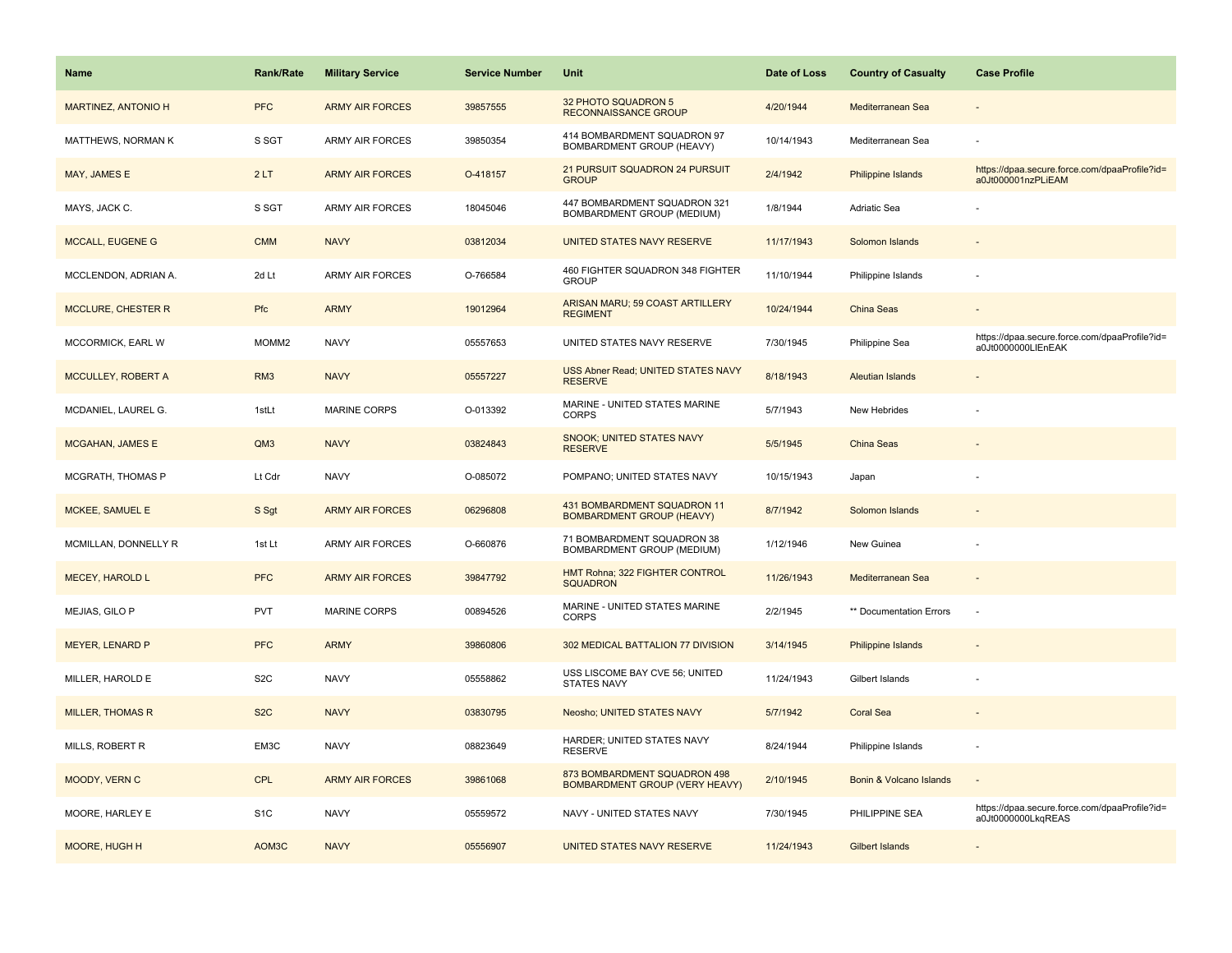| <b>Name</b>             | <b>Rank/Rate</b>  | <b>Military Service</b> | <b>Service Number</b> | Unit                                                                  | Date of Loss | <b>Country of Casualty</b> | <b>Case Profile</b>                                                 |
|-------------------------|-------------------|-------------------------|-----------------------|-----------------------------------------------------------------------|--------------|----------------------------|---------------------------------------------------------------------|
| MARTINEZ, ANTONIO H     | <b>PFC</b>        | <b>ARMY AIR FORCES</b>  | 39857555              | 32 PHOTO SQUADRON 5<br>RECONNAISSANCE GROUP                           | 4/20/1944    | Mediterranean Sea          |                                                                     |
| MATTHEWS, NORMAN K      | S SGT             | <b>ARMY AIR FORCES</b>  | 39850354              | 414 BOMBARDMENT SQUADRON 97<br>BOMBARDMENT GROUP (HEAVY)              | 10/14/1943   | Mediterranean Sea          |                                                                     |
| MAY, JAMES E            | 2LT               | <b>ARMY AIR FORCES</b>  | O-418157              | 21 PURSUIT SQUADRON 24 PURSUIT<br><b>GROUP</b>                        | 2/4/1942     | Philippine Islands         | https://dpaa.secure.force.com/dpaaProfile?id=<br>a0Jt000001nzPLiEAM |
| MAYS, JACK C.           | S SGT             | <b>ARMY AIR FORCES</b>  | 18045046              | 447 BOMBARDMENT SQUADRON 321<br>BOMBARDMENT GROUP (MEDIUM)            | 1/8/1944     | Adriatic Sea               |                                                                     |
| <b>MCCALL, EUGENE G</b> | <b>CMM</b>        | <b>NAVY</b>             | 03812034              | UNITED STATES NAVY RESERVE                                            | 11/17/1943   | Solomon Islands            |                                                                     |
| MCCLENDON, ADRIAN A.    | 2d Lt             | <b>ARMY AIR FORCES</b>  | O-766584              | 460 FIGHTER SQUADRON 348 FIGHTER<br><b>GROUP</b>                      | 11/10/1944   | Philippine Islands         |                                                                     |
| MCCLURE, CHESTER R      | Pfc               | <b>ARMY</b>             | 19012964              | ARISAN MARU; 59 COAST ARTILLERY<br><b>REGIMENT</b>                    | 10/24/1944   | China Seas                 |                                                                     |
| MCCORMICK, EARL W       | MOMM <sub>2</sub> | <b>NAVY</b>             | 05557653              | UNITED STATES NAVY RESERVE                                            | 7/30/1945    | Philippine Sea             | https://dpaa.secure.force.com/dpaaProfile?id=<br>a0Jt0000000LIEnEAK |
| MCCULLEY, ROBERT A      | RM <sub>3</sub>   | <b>NAVY</b>             | 05557227              | USS Abner Read; UNITED STATES NAVY<br><b>RESERVE</b>                  | 8/18/1943    | <b>Aleutian Islands</b>    |                                                                     |
| MCDANIEL, LAUREL G.     | 1stLt             | MARINE CORPS            | O-013392              | MARINE - UNITED STATES MARINE<br><b>CORPS</b>                         | 5/7/1943     | New Hebrides               |                                                                     |
| <b>MCGAHAN, JAMES E</b> | QM3               | <b>NAVY</b>             | 03824843              | <b>SNOOK; UNITED STATES NAVY</b><br><b>RESERVE</b>                    | 5/5/1945     | China Seas                 |                                                                     |
| MCGRATH, THOMAS P       | Lt Cdr            | <b>NAVY</b>             | O-085072              | POMPANO; UNITED STATES NAVY                                           | 10/15/1943   | Japan                      |                                                                     |
| MCKEE, SAMUEL E         | S Sgt             | <b>ARMY AIR FORCES</b>  | 06296808              | 431 BOMBARDMENT SQUADRON 11<br><b>BOMBARDMENT GROUP (HEAVY)</b>       | 8/7/1942     | Solomon Islands            |                                                                     |
| MCMILLAN, DONNELLY R    | 1st Lt            | ARMY AIR FORCES         | O-660876              | 71 BOMBARDMENT SQUADRON 38<br>BOMBARDMENT GROUP (MEDIUM)              | 1/12/1946    | New Guinea                 |                                                                     |
| <b>MECEY, HAROLD L</b>  | <b>PFC</b>        | <b>ARMY AIR FORCES</b>  | 39847792              | HMT Rohna; 322 FIGHTER CONTROL<br><b>SQUADRON</b>                     | 11/26/1943   | Mediterranean Sea          |                                                                     |
| MEJIAS, GILO P          | PVT               | <b>MARINE CORPS</b>     | 00894526              | MARINE - UNITED STATES MARINE<br><b>CORPS</b>                         | 2/2/1945     | ** Documentation Errors    | ÷.                                                                  |
| <b>MEYER, LENARD P</b>  | <b>PFC</b>        | <b>ARMY</b>             | 39860806              | 302 MEDICAL BATTALION 77 DIVISION                                     | 3/14/1945    | <b>Philippine Islands</b>  |                                                                     |
| MILLER, HAROLD E        | S <sub>2</sub> C  | <b>NAVY</b>             | 05558862              | USS LISCOME BAY CVE 56; UNITED<br><b>STATES NAVY</b>                  | 11/24/1943   | Gilbert Islands            |                                                                     |
| <b>MILLER, THOMAS R</b> | S <sub>2</sub> C  | <b>NAVY</b>             | 03830795              | Neosho; UNITED STATES NAVY                                            | 5/7/1942     | <b>Coral Sea</b>           |                                                                     |
| MILLS, ROBERT R         | EM3C              | <b>NAVY</b>             | 08823649              | HARDER; UNITED STATES NAVY<br><b>RESERVE</b>                          | 8/24/1944    | Philippine Islands         |                                                                     |
| MOODY, VERN C           | <b>CPL</b>        | <b>ARMY AIR FORCES</b>  | 39861068              | 873 BOMBARDMENT SQUADRON 498<br><b>BOMBARDMENT GROUP (VERY HEAVY)</b> | 2/10/1945    | Bonin & Volcano Islands    | $\overline{\phantom{a}}$                                            |
| MOORE, HARLEY E         | S <sub>1</sub> C  | <b>NAVY</b>             | 05559572              | NAVY - UNITED STATES NAVY                                             | 7/30/1945    | PHILIPPINE SEA             | https://dpaa.secure.force.com/dpaaProfile?id=<br>a0Jt0000000LkqREAS |
| MOORE, HUGH H           | AOM3C             | <b>NAVY</b>             | 05556907              | UNITED STATES NAVY RESERVE                                            | 11/24/1943   | <b>Gilbert Islands</b>     |                                                                     |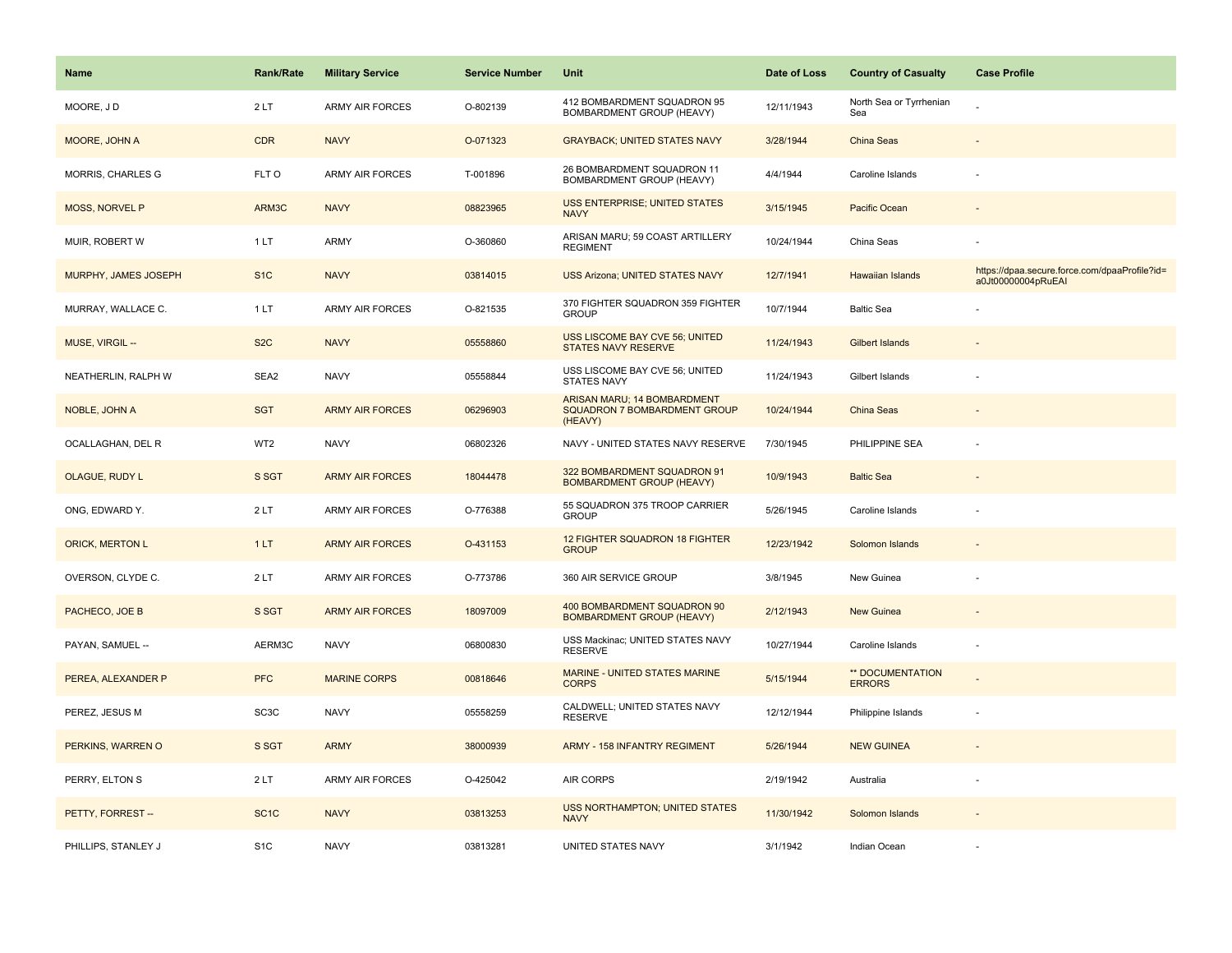| Name                   | <b>Rank/Rate</b>  | <b>Military Service</b> | <b>Service Number</b> | Unit                                                                   | Date of Loss | <b>Country of Casualty</b>        | <b>Case Profile</b>                                                 |
|------------------------|-------------------|-------------------------|-----------------------|------------------------------------------------------------------------|--------------|-----------------------------------|---------------------------------------------------------------------|
| MOORE, JD              | 2LT               | <b>ARMY AIR FORCES</b>  | O-802139              | 412 BOMBARDMENT SQUADRON 95<br>BOMBARDMENT GROUP (HEAVY)               | 12/11/1943   | North Sea or Tyrrhenian<br>Sea    |                                                                     |
| MOORE, JOHN A          | <b>CDR</b>        | <b>NAVY</b>             | O-071323              | <b>GRAYBACK; UNITED STATES NAVY</b>                                    | 3/28/1944    | China Seas                        |                                                                     |
| MORRIS, CHARLES G      | FLT O             | <b>ARMY AIR FORCES</b>  | T-001896              | 26 BOMBARDMENT SQUADRON 11<br>BOMBARDMENT GROUP (HEAVY)                | 4/4/1944     | Caroline Islands                  |                                                                     |
| <b>MOSS, NORVEL P</b>  | ARM3C             | <b>NAVY</b>             | 08823965              | <b>USS ENTERPRISE; UNITED STATES</b><br><b>NAVY</b>                    | 3/15/1945    | Pacific Ocean                     |                                                                     |
| MUIR, ROBERT W         | 1 LT              | ARMY                    | O-360860              | ARISAN MARU; 59 COAST ARTILLERY<br><b>REGIMENT</b>                     | 10/24/1944   | China Seas                        |                                                                     |
| MURPHY, JAMES JOSEPH   | S <sub>1</sub> C  | <b>NAVY</b>             | 03814015              | USS Arizona; UNITED STATES NAVY                                        | 12/7/1941    | Hawaiian Islands                  | https://dpaa.secure.force.com/dpaaProfile?id=<br>a0Jt00000004pRuEAI |
| MURRAY, WALLACE C.     | 1 LT              | ARMY AIR FORCES         | O-821535              | 370 FIGHTER SQUADRON 359 FIGHTER<br><b>GROUP</b>                       | 10/7/1944    | <b>Baltic Sea</b>                 |                                                                     |
| MUSE, VIRGIL --        | S <sub>2</sub> C  | <b>NAVY</b>             | 05558860              | USS LISCOME BAY CVE 56; UNITED<br>STATES NAVY RESERVE                  | 11/24/1943   | <b>Gilbert Islands</b>            |                                                                     |
| NEATHERLIN, RALPH W    | SEA2              | <b>NAVY</b>             | 05558844              | USS LISCOME BAY CVE 56; UNITED<br><b>STATES NAVY</b>                   | 11/24/1943   | Gilbert Islands                   |                                                                     |
| NOBLE, JOHN A          | <b>SGT</b>        | <b>ARMY AIR FORCES</b>  | 06296903              | ARISAN MARU; 14 BOMBARDMENT<br>SQUADRON 7 BOMBARDMENT GROUP<br>(HEAVY) | 10/24/1944   | China Seas                        |                                                                     |
| OCALLAGHAN, DEL R      | WT2               | <b>NAVY</b>             | 06802326              | NAVY - UNITED STATES NAVY RESERVE                                      | 7/30/1945    | PHILIPPINE SEA                    |                                                                     |
| <b>OLAGUE, RUDY L</b>  | S SGT             | <b>ARMY AIR FORCES</b>  | 18044478              | 322 BOMBARDMENT SQUADRON 91<br><b>BOMBARDMENT GROUP (HEAVY)</b>        | 10/9/1943    | <b>Baltic Sea</b>                 |                                                                     |
| ONG, EDWARD Y.         | 2LT               | <b>ARMY AIR FORCES</b>  | O-776388              | 55 SQUADRON 375 TROOP CARRIER<br><b>GROUP</b>                          | 5/26/1945    | Caroline Islands                  |                                                                     |
| <b>ORICK, MERTON L</b> | 1LT               | <b>ARMY AIR FORCES</b>  | O-431153              | 12 FIGHTER SQUADRON 18 FIGHTER<br><b>GROUP</b>                         | 12/23/1942   | Solomon Islands                   |                                                                     |
| OVERSON, CLYDE C.      | 2LT               | ARMY AIR FORCES         | O-773786              | 360 AIR SERVICE GROUP                                                  | 3/8/1945     | New Guinea                        |                                                                     |
| PACHECO, JOE B         | S SGT             | <b>ARMY AIR FORCES</b>  | 18097009              | 400 BOMBARDMENT SQUADRON 90<br><b>BOMBARDMENT GROUP (HEAVY)</b>        | 2/12/1943    | <b>New Guinea</b>                 |                                                                     |
| PAYAN, SAMUEL --       | AERM3C            | <b>NAVY</b>             | 06800830              | USS Mackinac; UNITED STATES NAVY<br><b>RESERVE</b>                     | 10/27/1944   | Caroline Islands                  |                                                                     |
| PEREA, ALEXANDER P     | <b>PFC</b>        | <b>MARINE CORPS</b>     | 00818646              | <b>MARINE - UNITED STATES MARINE</b><br><b>CORPS</b>                   | 5/15/1944    | ** DOCUMENTATION<br><b>ERRORS</b> |                                                                     |
| PEREZ, JESUS M         | SC <sub>3</sub> C | <b>NAVY</b>             | 05558259              | CALDWELL; UNITED STATES NAVY<br><b>RESERVE</b>                         | 12/12/1944   | Philippine Islands                |                                                                     |
| PERKINS, WARREN O      | S SGT             | <b>ARMY</b>             | 38000939              | ARMY - 158 INFANTRY REGIMENT                                           | 5/26/1944    | <b>NEW GUINEA</b>                 |                                                                     |
| PERRY, ELTON S         | 2LT               | <b>ARMY AIR FORCES</b>  | O-425042              | <b>AIR CORPS</b>                                                       | 2/19/1942    | Australia                         |                                                                     |
| PETTY, FORREST --      | SC <sub>1</sub> C | <b>NAVY</b>             | 03813253              | USS NORTHAMPTON; UNITED STATES<br><b>NAVY</b>                          | 11/30/1942   | Solomon Islands                   |                                                                     |
| PHILLIPS, STANLEY J    | S <sub>1</sub> C  | <b>NAVY</b>             | 03813281              | UNITED STATES NAVY                                                     | 3/1/1942     | Indian Ocean                      |                                                                     |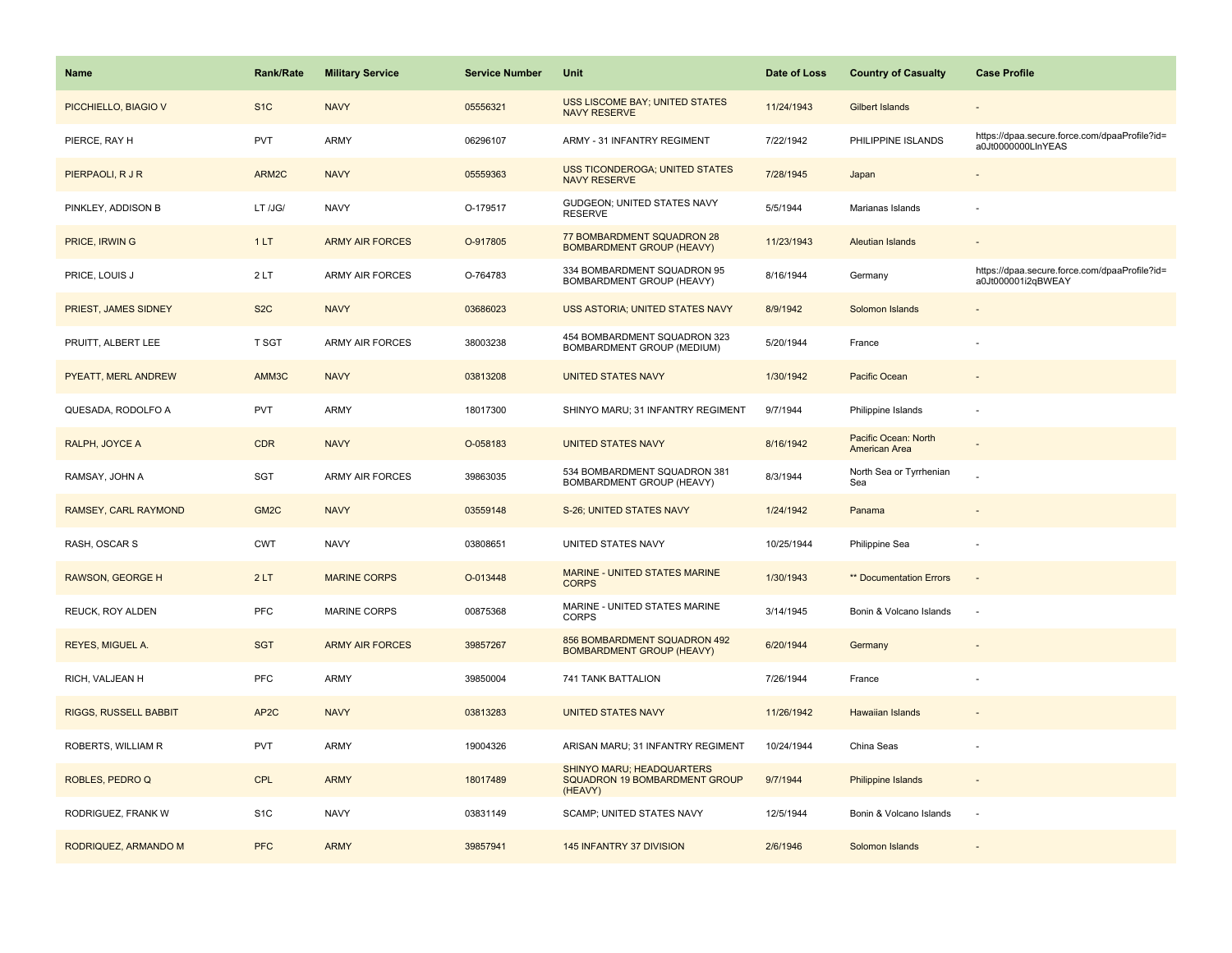| <b>Name</b>           | <b>Rank/Rate</b>  | <b>Military Service</b> | <b>Service Number</b> | Unit                                                                         | Date of Loss | <b>Country of Casualty</b>            | <b>Case Profile</b>                                                 |
|-----------------------|-------------------|-------------------------|-----------------------|------------------------------------------------------------------------------|--------------|---------------------------------------|---------------------------------------------------------------------|
| PICCHIELLO, BIAGIO V  | S <sub>1</sub> C  | <b>NAVY</b>             | 05556321              | USS LISCOME BAY; UNITED STATES<br><b>NAVY RESERVE</b>                        | 11/24/1943   | <b>Gilbert Islands</b>                |                                                                     |
| PIERCE, RAY H         | PVT               | ARMY                    | 06296107              | ARMY - 31 INFANTRY REGIMENT                                                  | 7/22/1942    | PHILIPPINE ISLANDS                    | https://dpaa.secure.force.com/dpaaProfile?id=<br>a0Jt0000000LInYEAS |
| PIERPAOLI, R J R      | ARM2C             | <b>NAVY</b>             | 05559363              | USS TICONDEROGA; UNITED STATES<br><b>NAVY RESERVE</b>                        | 7/28/1945    | Japan                                 |                                                                     |
| PINKLEY, ADDISON B    | LT /JG/           | <b>NAVY</b>             | O-179517              | GUDGEON; UNITED STATES NAVY<br><b>RESERVE</b>                                | 5/5/1944     | Marianas Islands                      |                                                                     |
| PRICE, IRWIN G        | 1LT               | <b>ARMY AIR FORCES</b>  | O-917805              | 77 BOMBARDMENT SQUADRON 28<br><b>BOMBARDMENT GROUP (HEAVY)</b>               | 11/23/1943   | <b>Aleutian Islands</b>               |                                                                     |
| PRICE, LOUIS J        | 2LT               | <b>ARMY AIR FORCES</b>  | O-764783              | 334 BOMBARDMENT SQUADRON 95<br>BOMBARDMENT GROUP (HEAVY)                     | 8/16/1944    | Germany                               | https://dpaa.secure.force.com/dpaaProfile?id=<br>a0Jt000001i2qBWEAY |
| PRIEST, JAMES SIDNEY  | S <sub>2</sub> C  | <b>NAVY</b>             | 03686023              | USS ASTORIA; UNITED STATES NAVY                                              | 8/9/1942     | Solomon Islands                       |                                                                     |
| PRUITT, ALBERT LEE    | T SGT             | <b>ARMY AIR FORCES</b>  | 38003238              | 454 BOMBARDMENT SQUADRON 323<br>BOMBARDMENT GROUP (MEDIUM)                   | 5/20/1944    | France                                |                                                                     |
| PYEATT, MERL ANDREW   | AMM3C             | <b>NAVY</b>             | 03813208              | <b>UNITED STATES NAVY</b>                                                    | 1/30/1942    | Pacific Ocean                         |                                                                     |
| QUESADA, RODOLFO A    | <b>PVT</b>        | <b>ARMY</b>             | 18017300              | SHINYO MARU; 31 INFANTRY REGIMENT                                            | 9/7/1944     | Philippine Islands                    |                                                                     |
| RALPH, JOYCE A        | <b>CDR</b>        | <b>NAVY</b>             | O-058183              | <b>UNITED STATES NAVY</b>                                                    | 8/16/1942    | Pacific Ocean: North<br>American Area |                                                                     |
| RAMSAY, JOHN A        | SGT               | <b>ARMY AIR FORCES</b>  | 39863035              | 534 BOMBARDMENT SQUADRON 381<br>BOMBARDMENT GROUP (HEAVY)                    | 8/3/1944     | North Sea or Tyrrhenian<br>Sea        |                                                                     |
| RAMSEY, CARL RAYMOND  | GM <sub>2</sub> C | <b>NAVY</b>             | 03559148              | S-26; UNITED STATES NAVY                                                     | 1/24/1942    | Panama                                |                                                                     |
| RASH, OSCAR S         | <b>CWT</b>        | <b>NAVY</b>             | 03808651              | UNITED STATES NAVY                                                           | 10/25/1944   | Philippine Sea                        |                                                                     |
| RAWSON, GEORGE H      | 2LT               | <b>MARINE CORPS</b>     | O-013448              | <b>MARINE - UNITED STATES MARINE</b><br><b>CORPS</b>                         | 1/30/1943    | <b>** Documentation Errors</b>        | $\sim$                                                              |
| REUCK, ROY ALDEN      | PFC               | <b>MARINE CORPS</b>     | 00875368              | MARINE - UNITED STATES MARINE<br><b>CORPS</b>                                | 3/14/1945    | Bonin & Volcano Islands               | ÷,                                                                  |
| REYES, MIGUEL A.      | <b>SGT</b>        | <b>ARMY AIR FORCES</b>  | 39857267              | 856 BOMBARDMENT SQUADRON 492<br><b>BOMBARDMENT GROUP (HEAVY)</b>             | 6/20/1944    | Germany                               |                                                                     |
| RICH, VALJEAN H       | <b>PFC</b>        | <b>ARMY</b>             | 39850004              | 741 TANK BATTALION                                                           | 7/26/1944    | France                                |                                                                     |
| RIGGS, RUSSELL BABBIT | AP <sub>2</sub> C | <b>NAVY</b>             | 03813283              | <b>UNITED STATES NAVY</b>                                                    | 11/26/1942   | Hawaiian Islands                      |                                                                     |
| ROBERTS, WILLIAM R    | <b>PVT</b>        | <b>ARMY</b>             | 19004326              | ARISAN MARU; 31 INFANTRY REGIMENT                                            | 10/24/1944   | China Seas                            |                                                                     |
| ROBLES, PEDRO Q       | <b>CPL</b>        | <b>ARMY</b>             | 18017489              | <b>SHINYO MARU; HEADQUARTERS</b><br>SQUADRON 19 BOMBARDMENT GROUP<br>(HEAVY) | 9/7/1944     | Philippine Islands                    | $\overline{\phantom{a}}$                                            |
| RODRIGUEZ, FRANK W    | S <sub>1</sub> C  | <b>NAVY</b>             | 03831149              | SCAMP; UNITED STATES NAVY                                                    | 12/5/1944    | Bonin & Volcano Islands               | $\sim$                                                              |
| RODRIQUEZ, ARMANDO M  | <b>PFC</b>        | <b>ARMY</b>             | 39857941              | 145 INFANTRY 37 DIVISION                                                     | 2/6/1946     | Solomon Islands                       |                                                                     |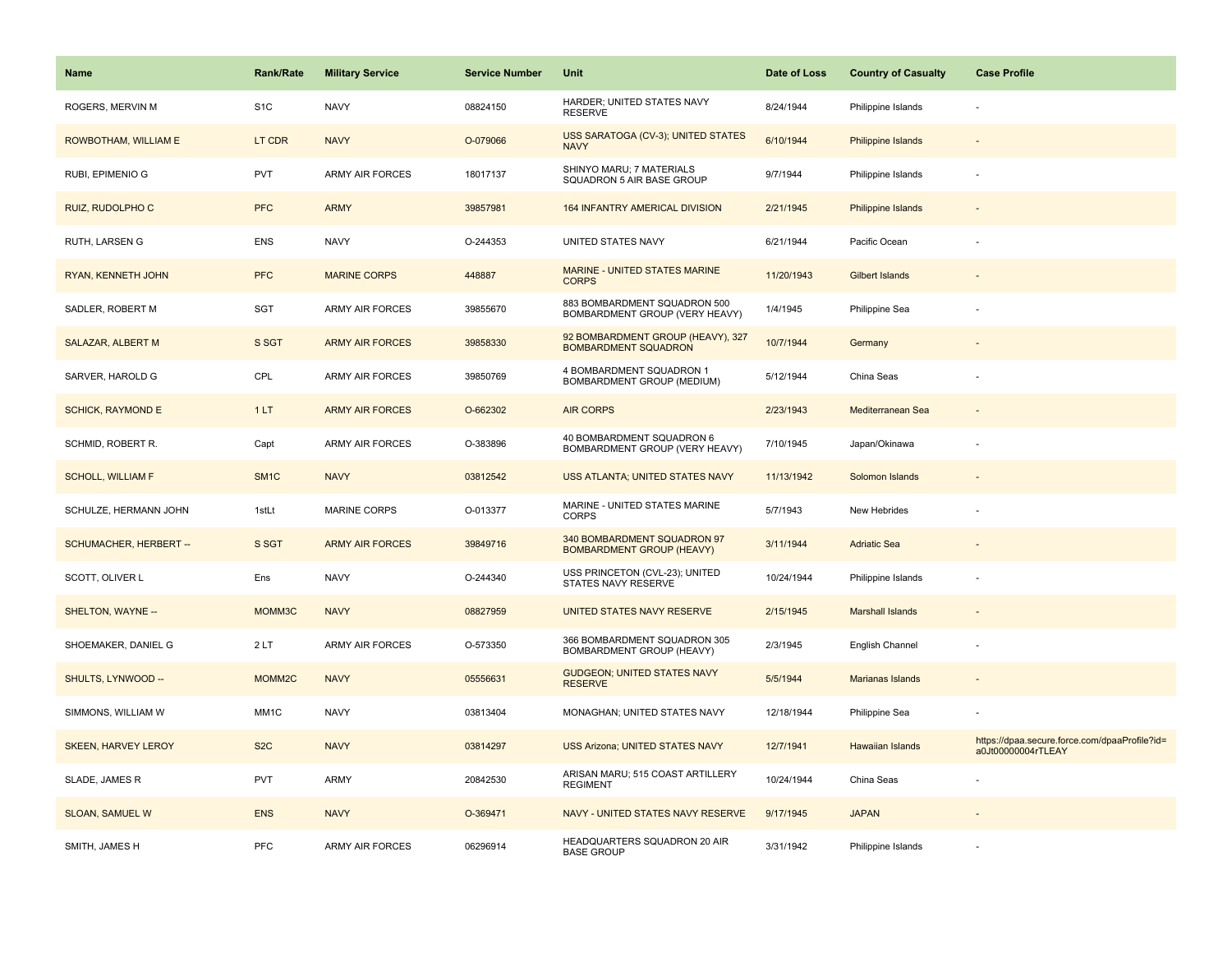| <b>Name</b>                | <b>Rank/Rate</b>   | <b>Military Service</b> | <b>Service Number</b> | Unit                                                             | Date of Loss | <b>Country of Casualty</b> | <b>Case Profile</b>                                                 |
|----------------------------|--------------------|-------------------------|-----------------------|------------------------------------------------------------------|--------------|----------------------------|---------------------------------------------------------------------|
| ROGERS, MERVIN M           | S <sub>1</sub> C   | <b>NAVY</b>             | 08824150              | HARDER; UNITED STATES NAVY<br><b>RESERVE</b>                     | 8/24/1944    | Philippine Islands         |                                                                     |
| ROWBOTHAM, WILLIAM E       | LT CDR             | <b>NAVY</b>             | O-079066              | USS SARATOGA (CV-3); UNITED STATES<br><b>NAVY</b>                | 6/10/1944    | <b>Philippine Islands</b>  |                                                                     |
| RUBI, EPIMENIO G           | <b>PVT</b>         | <b>ARMY AIR FORCES</b>  | 18017137              | SHINYO MARU; 7 MATERIALS<br>SQUADRON 5 AIR BASE GROUP            | 9/7/1944     | Philippine Islands         |                                                                     |
| RUIZ, RUDOLPHO C           | <b>PFC</b>         | <b>ARMY</b>             | 39857981              | 164 INFANTRY AMERICAL DIVISION                                   | 2/21/1945    | <b>Philippine Islands</b>  |                                                                     |
| RUTH, LARSEN G             | ENS                | <b>NAVY</b>             | O-244353              | UNITED STATES NAVY                                               | 6/21/1944    | Pacific Ocean              |                                                                     |
| RYAN, KENNETH JOHN         | <b>PFC</b>         | <b>MARINE CORPS</b>     | 448887                | <b>MARINE - UNITED STATES MARINE</b><br><b>CORPS</b>             | 11/20/1943   | Gilbert Islands            |                                                                     |
| SADLER, ROBERT M           | <b>SGT</b>         | ARMY AIR FORCES         | 39855670              | 883 BOMBARDMENT SQUADRON 500<br>BOMBARDMENT GROUP (VERY HEAVY)   | 1/4/1945     | Philippine Sea             |                                                                     |
| SALAZAR, ALBERT M          | S SGT              | <b>ARMY AIR FORCES</b>  | 39858330              | 92 BOMBARDMENT GROUP (HEAVY), 327<br><b>BOMBARDMENT SQUADRON</b> | 10/7/1944    | Germany                    |                                                                     |
| SARVER, HAROLD G           | CPL                | <b>ARMY AIR FORCES</b>  | 39850769              | 4 BOMBARDMENT SQUADRON 1<br>BOMBARDMENT GROUP (MEDIUM)           | 5/12/1944    | China Seas                 |                                                                     |
| <b>SCHICK, RAYMOND E</b>   | 1LT                | <b>ARMY AIR FORCES</b>  | O-662302              | <b>AIR CORPS</b>                                                 | 2/23/1943    | Mediterranean Sea          |                                                                     |
| SCHMID, ROBERT R.          | Capt               | <b>ARMY AIR FORCES</b>  | O-383896              | 40 BOMBARDMENT SQUADRON 6<br>BOMBARDMENT GROUP (VERY HEAVY)      | 7/10/1945    | Japan/Okinawa              |                                                                     |
| <b>SCHOLL, WILLIAM F</b>   | SM <sub>1</sub> C  | <b>NAVY</b>             | 03812542              | USS ATLANTA; UNITED STATES NAVY                                  | 11/13/1942   | Solomon Islands            |                                                                     |
| SCHULZE, HERMANN JOHN      | 1stLt              | <b>MARINE CORPS</b>     | O-013377              | MARINE - UNITED STATES MARINE<br><b>CORPS</b>                    | 5/7/1943     | New Hebrides               |                                                                     |
| SCHUMACHER, HERBERT --     | S SGT              | <b>ARMY AIR FORCES</b>  | 39849716              | 340 BOMBARDMENT SQUADRON 97<br><b>BOMBARDMENT GROUP (HEAVY)</b>  | 3/11/1944    | <b>Adriatic Sea</b>        |                                                                     |
| SCOTT, OLIVER L            | Ens                | <b>NAVY</b>             | O-244340              | USS PRINCETON (CVL-23); UNITED<br>STATES NAVY RESERVE            | 10/24/1944   | Philippine Islands         |                                                                     |
| SHELTON, WAYNE --          | MOMM3C             | <b>NAVY</b>             | 08827959              | UNITED STATES NAVY RESERVE                                       | 2/15/1945    | <b>Marshall Islands</b>    |                                                                     |
| SHOEMAKER, DANIEL G        | 2LT                | <b>ARMY AIR FORCES</b>  | O-573350              | 366 BOMBARDMENT SQUADRON 305<br>BOMBARDMENT GROUP (HEAVY)        | 2/3/1945     | <b>English Channel</b>     |                                                                     |
| SHULTS, LYNWOOD --         | MOMM <sub>2C</sub> | <b>NAVY</b>             | 05556631              | <b>GUDGEON; UNITED STATES NAVY</b><br><b>RESERVE</b>             | 5/5/1944     | Marianas Islands           |                                                                     |
| SIMMONS, WILLIAM W         | MM <sub>1</sub> C  | <b>NAVY</b>             | 03813404              | MONAGHAN; UNITED STATES NAVY                                     | 12/18/1944   | Philippine Sea             |                                                                     |
| <b>SKEEN, HARVEY LEROY</b> | S <sub>2</sub> C   | <b>NAVY</b>             | 03814297              | <b>USS Arizona; UNITED STATES NAVY</b>                           | 12/7/1941    | <b>Hawaiian Islands</b>    | https://dpaa.secure.force.com/dpaaProfile?id=<br>a0Jt00000004rTLEAY |
| SLADE, JAMES R             | <b>PVT</b>         | ARMY                    | 20842530              | ARISAN MARU; 515 COAST ARTILLERY<br><b>REGIMENT</b>              | 10/24/1944   | China Seas                 |                                                                     |
| <b>SLOAN, SAMUEL W</b>     | <b>ENS</b>         | <b>NAVY</b>             | O-369471              | NAVY - UNITED STATES NAVY RESERVE                                | 9/17/1945    | <b>JAPAN</b>               |                                                                     |
| SMITH, JAMES H             | <b>PFC</b>         | <b>ARMY AIR FORCES</b>  | 06296914              | HEADQUARTERS SQUADRON 20 AIR<br><b>BASE GROUP</b>                | 3/31/1942    | Philippine Islands         |                                                                     |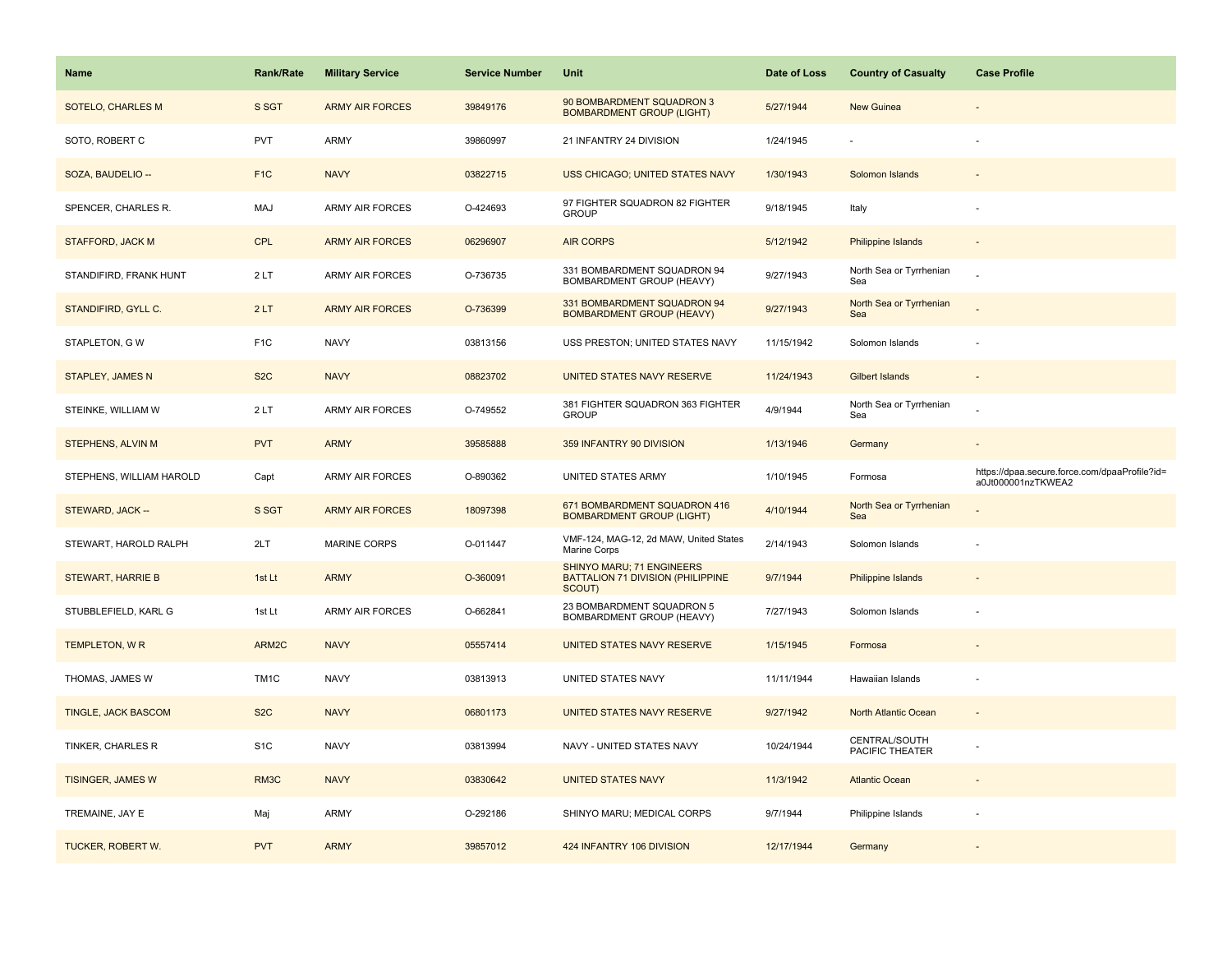| Name                       | <b>Rank/Rate</b>  | <b>Military Service</b> | <b>Service Number</b> | Unit                                                                     | Date of Loss | <b>Country of Casualty</b>       | <b>Case Profile</b>                                                 |
|----------------------------|-------------------|-------------------------|-----------------------|--------------------------------------------------------------------------|--------------|----------------------------------|---------------------------------------------------------------------|
| <b>SOTELO, CHARLES M</b>   | S SGT             | <b>ARMY AIR FORCES</b>  | 39849176              | 90 BOMBARDMENT SQUADRON 3<br><b>BOMBARDMENT GROUP (LIGHT)</b>            | 5/27/1944    | New Guinea                       |                                                                     |
| SOTO, ROBERT C             | PVT               | <b>ARMY</b>             | 39860997              | 21 INFANTRY 24 DIVISION                                                  | 1/24/1945    |                                  |                                                                     |
| SOZA, BAUDELIO --          | F <sub>1</sub> C  | <b>NAVY</b>             | 03822715              | <b>USS CHICAGO; UNITED STATES NAVY</b>                                   | 1/30/1943    | Solomon Islands                  |                                                                     |
| SPENCER, CHARLES R.        | <b>MAJ</b>        | <b>ARMY AIR FORCES</b>  | O-424693              | 97 FIGHTER SQUADRON 82 FIGHTER<br><b>GROUP</b>                           | 9/18/1945    | Italy                            |                                                                     |
| <b>STAFFORD, JACK M</b>    | <b>CPL</b>        | <b>ARMY AIR FORCES</b>  | 06296907              | <b>AIR CORPS</b>                                                         | 5/12/1942    | Philippine Islands               |                                                                     |
| STANDIFIRD, FRANK HUNT     | 2LT               | <b>ARMY AIR FORCES</b>  | O-736735              | 331 BOMBARDMENT SQUADRON 94<br>BOMBARDMENT GROUP (HEAVY)                 | 9/27/1943    | North Sea or Tyrrhenian<br>Sea   |                                                                     |
| STANDIFIRD, GYLL C.        | 2LT               | <b>ARMY AIR FORCES</b>  | O-736399              | 331 BOMBARDMENT SQUADRON 94<br><b>BOMBARDMENT GROUP (HEAVY)</b>          | 9/27/1943    | North Sea or Tyrrhenian<br>Sea   |                                                                     |
| STAPLETON, GW              | F <sub>1</sub> C  | <b>NAVY</b>             | 03813156              | USS PRESTON; UNITED STATES NAVY                                          | 11/15/1942   | Solomon Islands                  |                                                                     |
| <b>STAPLEY, JAMES N</b>    | S <sub>2</sub> C  | <b>NAVY</b>             | 08823702              | UNITED STATES NAVY RESERVE                                               | 11/24/1943   | Gilbert Islands                  |                                                                     |
| STEINKE, WILLIAM W         | 2LT               | ARMY AIR FORCES         | O-749552              | 381 FIGHTER SQUADRON 363 FIGHTER<br><b>GROUP</b>                         | 4/9/1944     | North Sea or Tyrrhenian<br>Sea   |                                                                     |
| STEPHENS, ALVIN M          | <b>PVT</b>        | <b>ARMY</b>             | 39585888              | 359 INFANTRY 90 DIVISION                                                 | 1/13/1946    | Germany                          |                                                                     |
|                            |                   |                         |                       |                                                                          |              |                                  |                                                                     |
| STEPHENS, WILLIAM HAROLD   | Capt              | <b>ARMY AIR FORCES</b>  | O-890362              | UNITED STATES ARMY                                                       | 1/10/1945    | Formosa                          | https://dpaa.secure.force.com/dpaaProfile?id=<br>a0Jt000001nzTKWEA2 |
| STEWARD, JACK --           | S SGT             | <b>ARMY AIR FORCES</b>  | 18097398              | 671 BOMBARDMENT SQUADRON 416<br><b>BOMBARDMENT GROUP (LIGHT)</b>         | 4/10/1944    | North Sea or Tyrrhenian<br>Sea   |                                                                     |
| STEWART, HAROLD RALPH      | 2LT               | MARINE CORPS            | O-011447              | VMF-124, MAG-12, 2d MAW, United States<br>Marine Corps                   | 2/14/1943    | Solomon Islands                  |                                                                     |
| <b>STEWART, HARRIE B</b>   | 1st Lt            | <b>ARMY</b>             | O-360091              | SHINYO MARU; 71 ENGINEERS<br>BATTALION 71 DIVISION (PHILIPPINE<br>SCOUT) | 9/7/1944     | <b>Philippine Islands</b>        |                                                                     |
| STUBBLEFIELD, KARL G       | 1st Lt            | <b>ARMY AIR FORCES</b>  | O-662841              | 23 BOMBARDMENT SQUADRON 5<br>BOMBARDMENT GROUP (HEAVY)                   | 7/27/1943    | Solomon Islands                  |                                                                     |
| <b>TEMPLETON, WR</b>       | ARM2C             | <b>NAVY</b>             | 05557414              | UNITED STATES NAVY RESERVE                                               | 1/15/1945    | Formosa                          |                                                                     |
| THOMAS, JAMES W            | TM <sub>1</sub> C | <b>NAVY</b>             | 03813913              | UNITED STATES NAVY                                                       | 11/11/1944   | Hawaiian Islands                 |                                                                     |
| <b>TINGLE, JACK BASCOM</b> | S <sub>2</sub> C  | <b>NAVY</b>             | 06801173              | UNITED STATES NAVY RESERVE                                               | 9/27/1942    | North Atlantic Ocean             |                                                                     |
| TINKER, CHARLES R          | S <sub>1</sub> C  | <b>NAVY</b>             | 03813994              | NAVY - UNITED STATES NAVY                                                | 10/24/1944   | CENTRAL/SOUTH<br>PACIFIC THEATER |                                                                     |
| <b>TISINGER, JAMES W</b>   | RM <sub>3</sub> C | <b>NAVY</b>             | 03830642              | <b>UNITED STATES NAVY</b>                                                | 11/3/1942    | <b>Atlantic Ocean</b>            |                                                                     |
| TREMAINE, JAY E            | Maj               | <b>ARMY</b>             | O-292186              | SHINYO MARU; MEDICAL CORPS                                               | 9/7/1944     | Philippine Islands               |                                                                     |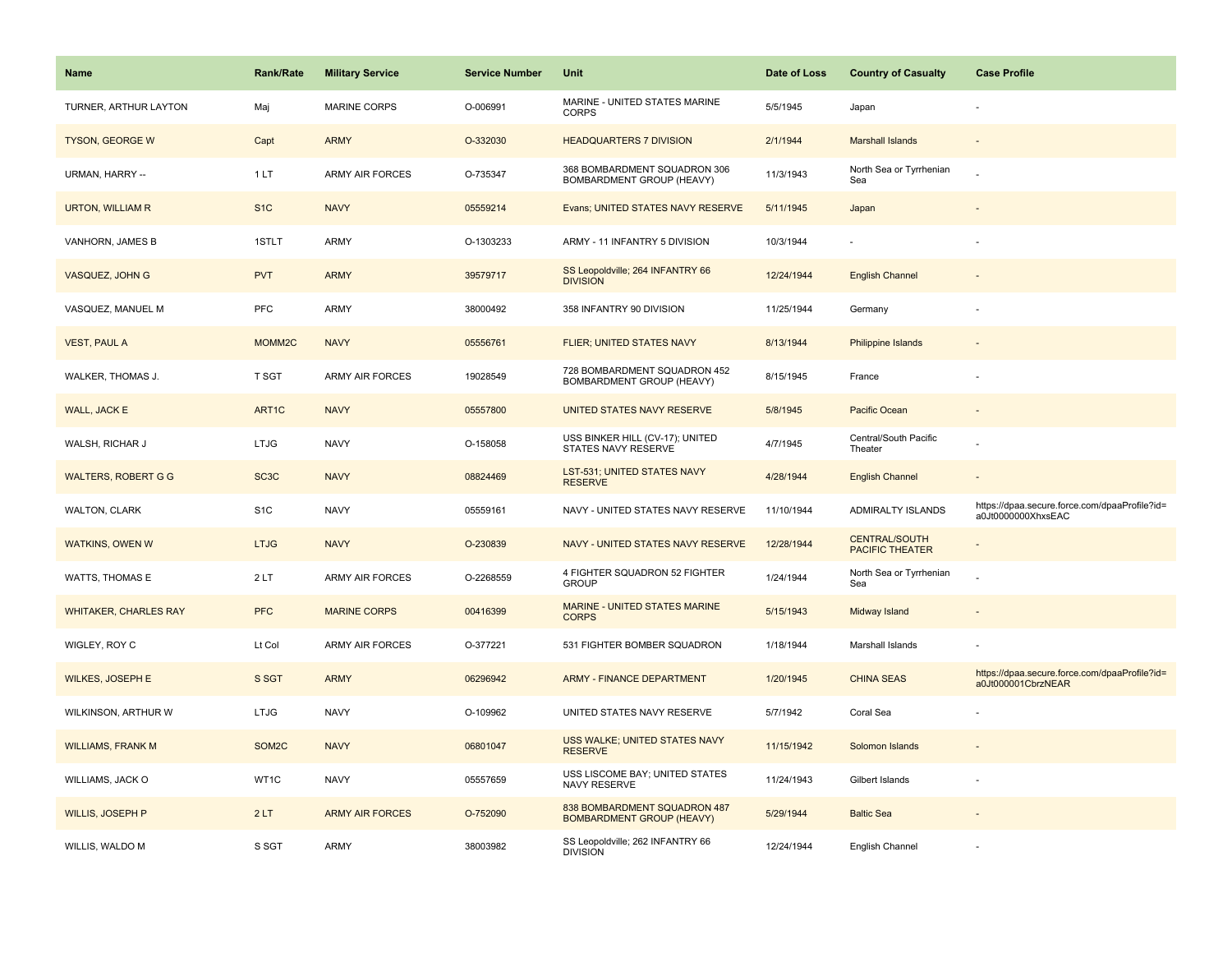| Name                         | <b>Rank/Rate</b>   | <b>Military Service</b> | <b>Service Number</b> | Unit                                                             | Date of Loss | <b>Country of Casualty</b>                     | <b>Case Profile</b>                                                 |
|------------------------------|--------------------|-------------------------|-----------------------|------------------------------------------------------------------|--------------|------------------------------------------------|---------------------------------------------------------------------|
| TURNER, ARTHUR LAYTON        | Maj                | <b>MARINE CORPS</b>     | O-006991              | MARINE - UNITED STATES MARINE<br><b>CORPS</b>                    | 5/5/1945     | Japan                                          |                                                                     |
| <b>TYSON, GEORGE W</b>       | Capt               | <b>ARMY</b>             | O-332030              | <b>HEADQUARTERS 7 DIVISION</b>                                   | 2/1/1944     | <b>Marshall Islands</b>                        |                                                                     |
| URMAN, HARRY --              | 1LT                | <b>ARMY AIR FORCES</b>  | O-735347              | 368 BOMBARDMENT SQUADRON 306<br>BOMBARDMENT GROUP (HEAVY)        | 11/3/1943    | North Sea or Tyrrhenian<br>Sea                 |                                                                     |
| URTON, WILLIAM R             | S <sub>1</sub> C   | <b>NAVY</b>             | 05559214              | Evans; UNITED STATES NAVY RESERVE                                | 5/11/1945    | Japan                                          |                                                                     |
| VANHORN, JAMES B             | 1STLT              | <b>ARMY</b>             | O-1303233             | ARMY - 11 INFANTRY 5 DIVISION                                    | 10/3/1944    |                                                |                                                                     |
| VASQUEZ, JOHN G              | <b>PVT</b>         | <b>ARMY</b>             | 39579717              | SS Leopoldville; 264 INFANTRY 66<br><b>DIVISION</b>              | 12/24/1944   | <b>English Channel</b>                         |                                                                     |
| VASQUEZ, MANUEL M            | <b>PFC</b>         | <b>ARMY</b>             | 38000492              | 358 INFANTRY 90 DIVISION                                         | 11/25/1944   | Germany                                        |                                                                     |
| <b>VEST, PAUL A</b>          | MOMM2C             | <b>NAVY</b>             | 05556761              | FLIER; UNITED STATES NAVY                                        | 8/13/1944    | <b>Philippine Islands</b>                      |                                                                     |
| WALKER, THOMAS J.            | T SGT              | <b>ARMY AIR FORCES</b>  | 19028549              | 728 BOMBARDMENT SQUADRON 452<br>BOMBARDMENT GROUP (HEAVY)        | 8/15/1945    | France                                         |                                                                     |
| WALL, JACK E                 | ART1C              | <b>NAVY</b>             | 05557800              | UNITED STATES NAVY RESERVE                                       | 5/8/1945     | Pacific Ocean                                  |                                                                     |
| WALSH, RICHAR J              | <b>LTJG</b>        | <b>NAVY</b>             | O-158058              | USS BINKER HILL (CV-17); UNITED<br>STATES NAVY RESERVE           | 4/7/1945     | Central/South Pacific<br>Theater               |                                                                     |
| <b>WALTERS, ROBERT G G</b>   | SC <sub>3</sub> C  | <b>NAVY</b>             | 08824469              | <b>LST-531; UNITED STATES NAVY</b><br><b>RESERVE</b>             | 4/28/1944    | <b>English Channel</b>                         |                                                                     |
| WALTON, CLARK                | S <sub>1</sub> C   | <b>NAVY</b>             | 05559161              | NAVY - UNITED STATES NAVY RESERVE                                | 11/10/1944   | ADMIRALTY ISLANDS                              | https://dpaa.secure.force.com/dpaaProfile?id=<br>a0Jt0000000XhxsEAC |
| <b>WATKINS, OWEN W</b>       | <b>LTJG</b>        | <b>NAVY</b>             | O-230839              | NAVY - UNITED STATES NAVY RESERVE                                | 12/28/1944   | <b>CENTRAL/SOUTH</b><br><b>PACIFIC THEATER</b> |                                                                     |
| <b>WATTS, THOMAS E</b>       | 2LT                | <b>ARMY AIR FORCES</b>  | O-2268559             | 4 FIGHTER SQUADRON 52 FIGHTER<br><b>GROUP</b>                    | 1/24/1944    | North Sea or Tyrrhenian<br>Sea                 |                                                                     |
| <b>WHITAKER, CHARLES RAY</b> | <b>PFC</b>         | <b>MARINE CORPS</b>     | 00416399              | MARINE - UNITED STATES MARINE<br><b>CORPS</b>                    | 5/15/1943    | Midway Island                                  |                                                                     |
| WIGLEY, ROY C                | Lt Col             | <b>ARMY AIR FORCES</b>  | O-377221              | 531 FIGHTER BOMBER SQUADRON                                      | 1/18/1944    | Marshall Islands                               |                                                                     |
| <b>WILKES, JOSEPH E</b>      | S SGT              | <b>ARMY</b>             | 06296942              | <b>ARMY - FINANCE DEPARTMENT</b>                                 | 1/20/1945    | <b>CHINA SEAS</b>                              | https://dpaa.secure.force.com/dpaaProfile?id=<br>a0Jt000001CbrzNEAR |
| WILKINSON, ARTHUR W          | <b>LTJG</b>        | <b>NAVY</b>             | O-109962              | UNITED STATES NAVY RESERVE                                       | 5/7/1942     | Coral Sea                                      |                                                                     |
| <b>WILLIAMS, FRANK M</b>     | SOM <sub>2</sub> C | <b>NAVY</b>             | 06801047              | USS WALKE; UNITED STATES NAVY<br><b>RESERVE</b>                  | 11/15/1942   | Solomon Islands                                |                                                                     |
| WILLIAMS, JACK O             | WT1C               | <b>NAVY</b>             | 05557659              | USS LISCOME BAY; UNITED STATES<br>NAVY RESERVE                   | 11/24/1943   | Gilbert Islands                                |                                                                     |
| <b>WILLIS, JOSEPH P</b>      | 2LT                | <b>ARMY AIR FORCES</b>  | O-752090              | 838 BOMBARDMENT SQUADRON 487<br><b>BOMBARDMENT GROUP (HEAVY)</b> | 5/29/1944    | <b>Baltic Sea</b>                              |                                                                     |
| WILLIS, WALDO M              | S SGT              | <b>ARMY</b>             | 38003982              | SS Leopoldville; 262 INFANTRY 66<br><b>DIVISION</b>              | 12/24/1944   | English Channel                                |                                                                     |